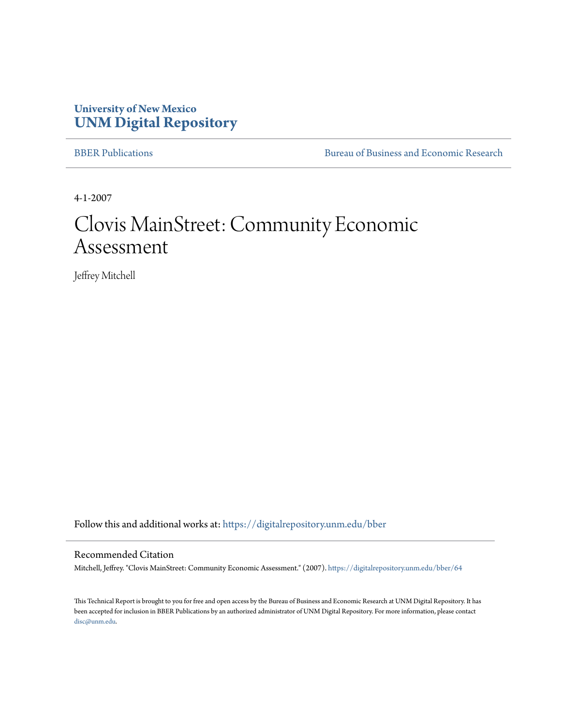## **University of New Mexico [UNM Digital Repository](https://digitalrepository.unm.edu?utm_source=digitalrepository.unm.edu%2Fbber%2F64&utm_medium=PDF&utm_campaign=PDFCoverPages)**

[BBER Publications](https://digitalrepository.unm.edu/bber?utm_source=digitalrepository.unm.edu%2Fbber%2F64&utm_medium=PDF&utm_campaign=PDFCoverPages) [Bureau of Business and Economic Research](https://digitalrepository.unm.edu/business_economic_research?utm_source=digitalrepository.unm.edu%2Fbber%2F64&utm_medium=PDF&utm_campaign=PDFCoverPages)

4-1-2007

## Clovis MainStreet: Community Economic Assessment

Jeffrey Mitchell

Follow this and additional works at: [https://digitalrepository.unm.edu/bber](https://digitalrepository.unm.edu/bber?utm_source=digitalrepository.unm.edu%2Fbber%2F64&utm_medium=PDF&utm_campaign=PDFCoverPages)

#### Recommended Citation

Mitchell, Jeffrey. "Clovis MainStreet: Community Economic Assessment." (2007). [https://digitalrepository.unm.edu/bber/64](https://digitalrepository.unm.edu/bber/64?utm_source=digitalrepository.unm.edu%2Fbber%2F64&utm_medium=PDF&utm_campaign=PDFCoverPages)

This Technical Report is brought to you for free and open access by the Bureau of Business and Economic Research at UNM Digital Repository. It has been accepted for inclusion in BBER Publications by an authorized administrator of UNM Digital Repository. For more information, please contact [disc@unm.edu](mailto:disc@unm.edu).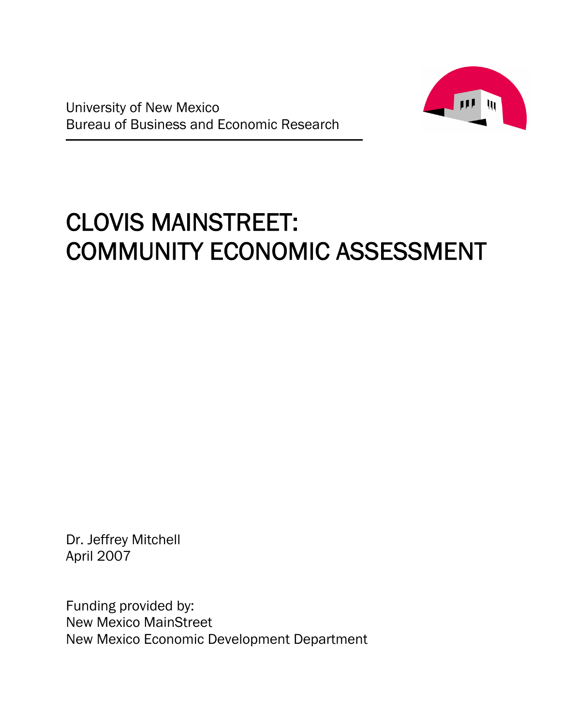

# CLOVIS MAINSTREET: COMMUNITY ECONOMIC ASSESSMENT

Dr. Jeffrey Mitchell April 2007

Funding provided by: New Mexico MainStreet New Mexico Economic Development Department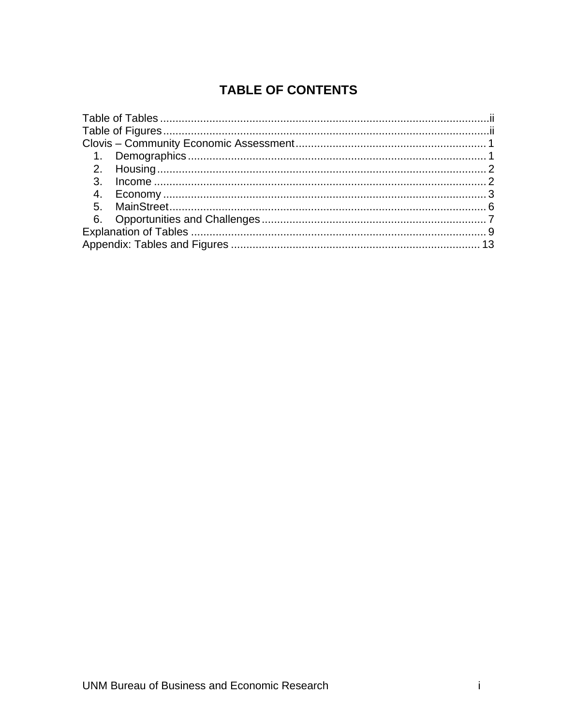## **TABLE OF CONTENTS**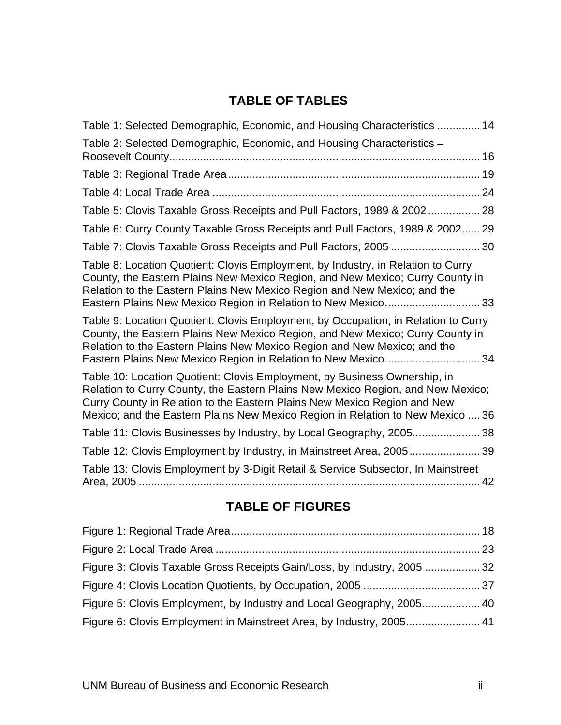## **TABLE OF TABLES**

| Table 1: Selected Demographic, Economic, and Housing Characteristics  14                                                                                                                                                                                                                                                   |  |
|----------------------------------------------------------------------------------------------------------------------------------------------------------------------------------------------------------------------------------------------------------------------------------------------------------------------------|--|
| Table 2: Selected Demographic, Economic, and Housing Characteristics -                                                                                                                                                                                                                                                     |  |
|                                                                                                                                                                                                                                                                                                                            |  |
|                                                                                                                                                                                                                                                                                                                            |  |
| Table 5: Clovis Taxable Gross Receipts and Pull Factors, 1989 & 2002 28                                                                                                                                                                                                                                                    |  |
| Table 6: Curry County Taxable Gross Receipts and Pull Factors, 1989 & 2002 29                                                                                                                                                                                                                                              |  |
| Table 7: Clovis Taxable Gross Receipts and Pull Factors, 2005  30                                                                                                                                                                                                                                                          |  |
| Table 8: Location Quotient: Clovis Employment, by Industry, in Relation to Curry<br>County, the Eastern Plains New Mexico Region, and New Mexico; Curry County in<br>Relation to the Eastern Plains New Mexico Region and New Mexico; and the<br>Eastern Plains New Mexico Region in Relation to New Mexico 33             |  |
| Table 9: Location Quotient: Clovis Employment, by Occupation, in Relation to Curry<br>County, the Eastern Plains New Mexico Region, and New Mexico; Curry County in<br>Relation to the Eastern Plains New Mexico Region and New Mexico; and the<br>Eastern Plains New Mexico Region in Relation to New Mexico 34           |  |
| Table 10: Location Quotient: Clovis Employment, by Business Ownership, in<br>Relation to Curry County, the Eastern Plains New Mexico Region, and New Mexico;<br>Curry County in Relation to the Eastern Plains New Mexico Region and New<br>Mexico; and the Eastern Plains New Mexico Region in Relation to New Mexico  36 |  |
| Table 11: Clovis Businesses by Industry, by Local Geography, 2005 38                                                                                                                                                                                                                                                       |  |
| Table 12: Clovis Employment by Industry, in Mainstreet Area, 2005 39                                                                                                                                                                                                                                                       |  |
| Table 13: Clovis Employment by 3-Digit Retail & Service Subsector, In Mainstreet                                                                                                                                                                                                                                           |  |
|                                                                                                                                                                                                                                                                                                                            |  |

## **TABLE OF FIGURES**

| Figure 3: Clovis Taxable Gross Receipts Gain/Loss, by Industry, 2005  32 |  |
|--------------------------------------------------------------------------|--|
|                                                                          |  |
| Figure 5: Clovis Employment, by Industry and Local Geography, 2005 40    |  |
| Figure 6: Clovis Employment in Mainstreet Area, by Industry, 2005 41     |  |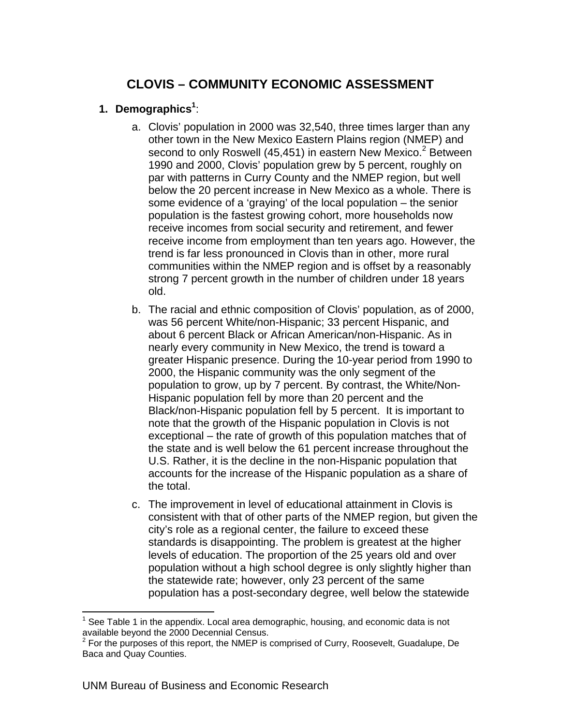## **CLOVIS – COMMUNITY ECONOMIC ASSESSMENT**

#### **1. Demographics<sup>1</sup>** :

- a. Clovis' population in 2000 was 32,540, three times larger than any other town in the New Mexico Eastern Plains region (NMEP) and second to only Roswell (45,451) in eastern New Mexico.<sup>2</sup> Between 1990 and 2000, Clovis' population grew by 5 percent, roughly on par with patterns in Curry County and the NMEP region, but well below the 20 percent increase in New Mexico as a whole. There is some evidence of a 'graying' of the local population – the senior population is the fastest growing cohort, more households now receive incomes from social security and retirement, and fewer receive income from employment than ten years ago. However, the trend is far less pronounced in Clovis than in other, more rural communities within the NMEP region and is offset by a reasonably strong 7 percent growth in the number of children under 18 years old.
- b. The racial and ethnic composition of Clovis' population, as of 2000, was 56 percent White/non-Hispanic; 33 percent Hispanic, and about 6 percent Black or African American/non-Hispanic. As in nearly every community in New Mexico, the trend is toward a greater Hispanic presence. During the 10-year period from 1990 to 2000, the Hispanic community was the only segment of the population to grow, up by 7 percent. By contrast, the White/Non-Hispanic population fell by more than 20 percent and the Black/non-Hispanic population fell by 5 percent. It is important to note that the growth of the Hispanic population in Clovis is not exceptional – the rate of growth of this population matches that of the state and is well below the 61 percent increase throughout the U.S. Rather, it is the decline in the non-Hispanic population that accounts for the increase of the Hispanic population as a share of the total.
- c. The improvement in level of educational attainment in Clovis is consistent with that of other parts of the NMEP region, but given the city's role as a regional center, the failure to exceed these standards is disappointing. The problem is greatest at the higher levels of education. The proportion of the 25 years old and over population without a high school degree is only slightly higher than the statewide rate; however, only 23 percent of the same population has a post-secondary degree, well below the statewide

1

<sup>1</sup> See Table 1 in the appendix. Local area demographic, housing, and economic data is not available beyond the 2000 Decennial Census.

 $2$  For the purposes of this report, the NMEP is comprised of Curry, Roosevelt, Guadalupe, De Baca and Quay Counties.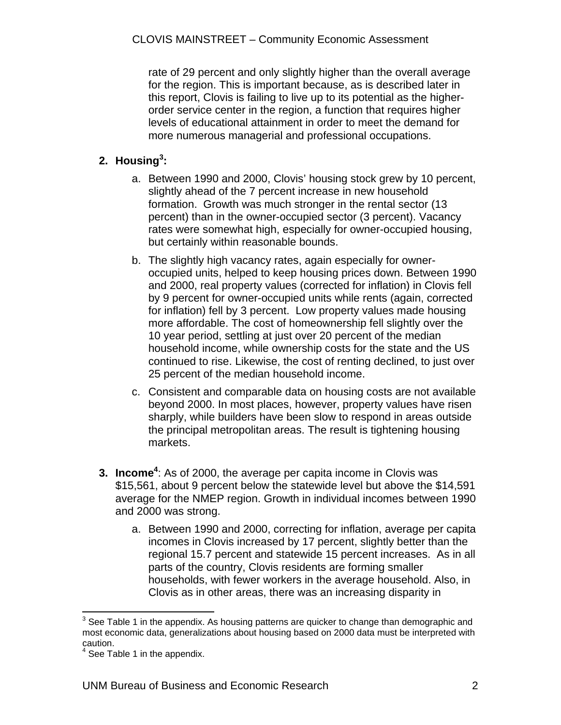rate of 29 percent and only slightly higher than the overall average for the region. This is important because, as is described later in this report, Clovis is failing to live up to its potential as the higherorder service center in the region, a function that requires higher levels of educational attainment in order to meet the demand for more numerous managerial and professional occupations.

### **2. Housing<sup>3</sup> :**

- a. Between 1990 and 2000, Clovis' housing stock grew by 10 percent, slightly ahead of the 7 percent increase in new household formation. Growth was much stronger in the rental sector (13 percent) than in the owner-occupied sector (3 percent). Vacancy rates were somewhat high, especially for owner-occupied housing, but certainly within reasonable bounds.
- b. The slightly high vacancy rates, again especially for owneroccupied units, helped to keep housing prices down. Between 1990 and 2000, real property values (corrected for inflation) in Clovis fell by 9 percent for owner-occupied units while rents (again, corrected for inflation) fell by 3 percent. Low property values made housing more affordable. The cost of homeownership fell slightly over the 10 year period, settling at just over 20 percent of the median household income, while ownership costs for the state and the US continued to rise. Likewise, the cost of renting declined, to just over 25 percent of the median household income.
- c. Consistent and comparable data on housing costs are not available beyond 2000. In most places, however, property values have risen sharply, while builders have been slow to respond in areas outside the principal metropolitan areas. The result is tightening housing markets.
- **3. Income<sup>4</sup>:** As of 2000, the average per capita income in Clovis was \$15,561, about 9 percent below the statewide level but above the \$14,591 average for the NMEP region. Growth in individual incomes between 1990 and 2000 was strong.
	- a. Between 1990 and 2000, correcting for inflation, average per capita incomes in Clovis increased by 17 percent, slightly better than the regional 15.7 percent and statewide 15 percent increases. As in all parts of the country, Clovis residents are forming smaller households, with fewer workers in the average household. Also, in Clovis as in other areas, there was an increasing disparity in

 3 See Table 1 in the appendix. As housing patterns are quicker to change than demographic and most economic data, generalizations about housing based on 2000 data must be interpreted with caution.<br><sup>4</sup> See Te

See Table 1 in the appendix.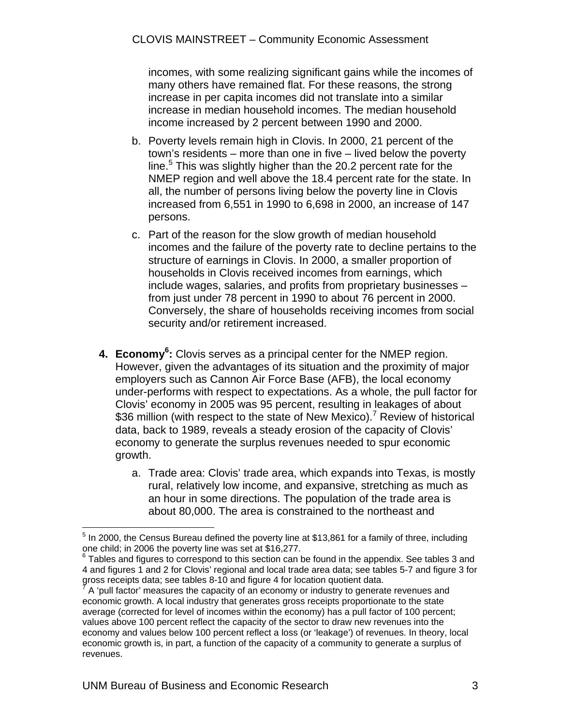incomes, with some realizing significant gains while the incomes of many others have remained flat. For these reasons, the strong increase in per capita incomes did not translate into a similar increase in median household incomes. The median household income increased by 2 percent between 1990 and 2000.

- b. Poverty levels remain high in Clovis. In 2000, 21 percent of the town's residents – more than one in five – lived below the poverty line.<sup>5</sup> This was slightly higher than the 20.2 percent rate for the NMEP region and well above the 18.4 percent rate for the state. In all, the number of persons living below the poverty line in Clovis increased from 6,551 in 1990 to 6,698 in 2000, an increase of 147 persons.
- c. Part of the reason for the slow growth of median household incomes and the failure of the poverty rate to decline pertains to the structure of earnings in Clovis. In 2000, a smaller proportion of households in Clovis received incomes from earnings, which include wages, salaries, and profits from proprietary businesses – from just under 78 percent in 1990 to about 76 percent in 2000. Conversely, the share of households receiving incomes from social security and/or retirement increased.
- 4. Economy<sup>6</sup>: Clovis serves as a principal center for the NMEP region. However, given the advantages of its situation and the proximity of major employers such as Cannon Air Force Base (AFB), the local economy under-performs with respect to expectations. As a whole, the pull factor for Clovis' economy in 2005 was 95 percent, resulting in leakages of about \$36 million (with respect to the state of New Mexico).<sup>7</sup> Review of historical data, back to 1989, reveals a steady erosion of the capacity of Clovis' economy to generate the surplus revenues needed to spur economic growth.
	- a. Trade area: Clovis' trade area, which expands into Texas, is mostly rural, relatively low income, and expansive, stretching as much as an hour in some directions. The population of the trade area is about 80,000. The area is constrained to the northeast and

 $\overline{a}$  $<sup>5</sup>$  In 2000, the Census Bureau defined the poverty line at \$13,861 for a family of three, including</sup> one child; in 2006 the poverty line was set at \$16,277.

<sup>6</sup> Tables and figures to correspond to this section can be found in the appendix. See tables 3 and 4 and figures 1 and 2 for Clovis' regional and local trade area data; see tables 5-7 and figure 3 for gross receipts data; see tables 8-10 and figure 4 for location quotient data. 7

A 'pull factor' measures the capacity of an economy or industry to generate revenues and economic growth. A local industry that generates gross receipts proportionate to the state average (corrected for level of incomes within the economy) has a pull factor of 100 percent; values above 100 percent reflect the capacity of the sector to draw new revenues into the economy and values below 100 percent reflect a loss (or 'leakage') of revenues. In theory, local economic growth is, in part, a function of the capacity of a community to generate a surplus of revenues.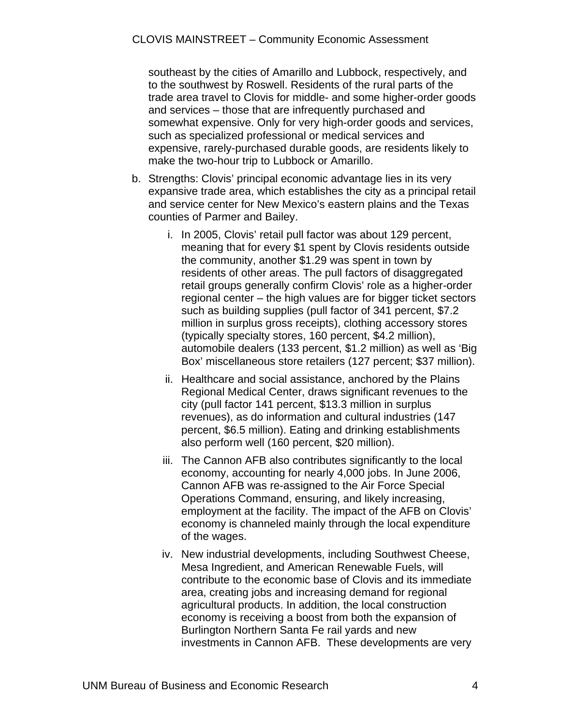southeast by the cities of Amarillo and Lubbock, respectively, and to the southwest by Roswell. Residents of the rural parts of the trade area travel to Clovis for middle- and some higher-order goods and services – those that are infrequently purchased and somewhat expensive. Only for very high-order goods and services, such as specialized professional or medical services and expensive, rarely-purchased durable goods, are residents likely to make the two-hour trip to Lubbock or Amarillo.

- b. Strengths: Clovis' principal economic advantage lies in its very expansive trade area, which establishes the city as a principal retail and service center for New Mexico's eastern plains and the Texas counties of Parmer and Bailey.
	- i. In 2005, Clovis' retail pull factor was about 129 percent, meaning that for every \$1 spent by Clovis residents outside the community, another \$1.29 was spent in town by residents of other areas. The pull factors of disaggregated retail groups generally confirm Clovis' role as a higher-order regional center – the high values are for bigger ticket sectors such as building supplies (pull factor of 341 percent, \$7.2 million in surplus gross receipts), clothing accessory stores (typically specialty stores, 160 percent, \$4.2 million), automobile dealers (133 percent, \$1.2 million) as well as 'Big Box' miscellaneous store retailers (127 percent; \$37 million).
	- ii. Healthcare and social assistance, anchored by the Plains Regional Medical Center, draws significant revenues to the city (pull factor 141 percent, \$13.3 million in surplus revenues), as do information and cultural industries (147 percent, \$6.5 million). Eating and drinking establishments also perform well (160 percent, \$20 million).
	- iii. The Cannon AFB also contributes significantly to the local economy, accounting for nearly 4,000 jobs. In June 2006, Cannon AFB was re-assigned to the Air Force Special Operations Command, ensuring, and likely increasing, employment at the facility. The impact of the AFB on Clovis' economy is channeled mainly through the local expenditure of the wages.
	- iv. New industrial developments, including Southwest Cheese, Mesa Ingredient, and American Renewable Fuels, will contribute to the economic base of Clovis and its immediate area, creating jobs and increasing demand for regional agricultural products. In addition, the local construction economy is receiving a boost from both the expansion of Burlington Northern Santa Fe rail yards and new investments in Cannon AFB. These developments are very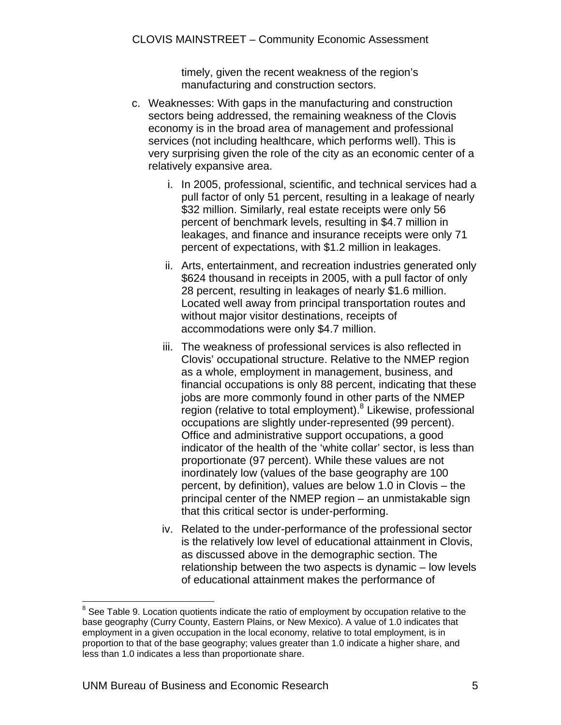timely, given the recent weakness of the region's manufacturing and construction sectors.

- c. Weaknesses: With gaps in the manufacturing and construction sectors being addressed, the remaining weakness of the Clovis economy is in the broad area of management and professional services (not including healthcare, which performs well). This is very surprising given the role of the city as an economic center of a relatively expansive area.
	- i. In 2005, professional, scientific, and technical services had a pull factor of only 51 percent, resulting in a leakage of nearly \$32 million. Similarly, real estate receipts were only 56 percent of benchmark levels, resulting in \$4.7 million in leakages, and finance and insurance receipts were only 71 percent of expectations, with \$1.2 million in leakages.
	- ii. Arts, entertainment, and recreation industries generated only \$624 thousand in receipts in 2005, with a pull factor of only 28 percent, resulting in leakages of nearly \$1.6 million. Located well away from principal transportation routes and without major visitor destinations, receipts of accommodations were only \$4.7 million.
	- iii. The weakness of professional services is also reflected in Clovis' occupational structure. Relative to the NMEP region as a whole, employment in management, business, and financial occupations is only 88 percent, indicating that these jobs are more commonly found in other parts of the NMEP region (relative to total employment).<sup>8</sup> Likewise, professional occupations are slightly under-represented (99 percent). Office and administrative support occupations, a good indicator of the health of the 'white collar' sector, is less than proportionate (97 percent). While these values are not inordinately low (values of the base geography are 100 percent, by definition), values are below 1.0 in Clovis – the principal center of the NMEP region – an unmistakable sign that this critical sector is under-performing.
	- iv. Related to the under-performance of the professional sector is the relatively low level of educational attainment in Clovis, as discussed above in the demographic section. The relationship between the two aspects is dynamic – low levels of educational attainment makes the performance of

<sup>————————————————————&</sup>lt;br><sup>8</sup> See Table 9. Location quotients indicate the ratio of employment by occupation relative to the base geography (Curry County, Eastern Plains, or New Mexico). A value of 1.0 indicates that employment in a given occupation in the local economy, relative to total employment, is in proportion to that of the base geography; values greater than 1.0 indicate a higher share, and less than 1.0 indicates a less than proportionate share.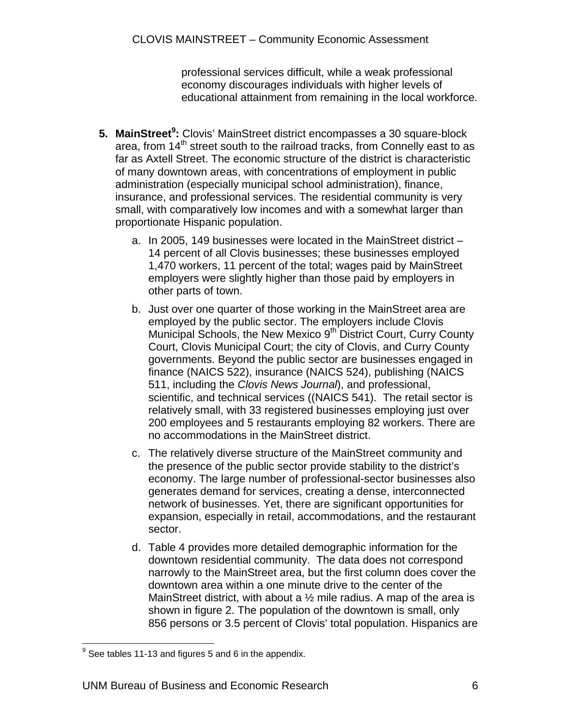professional services difficult, while a weak professional economy discourages individuals with higher levels of educational attainment from remaining in the local workforce.

- **5. MainStreet<sup>9</sup>:** Clovis' MainStreet district encompasses a 30 square-block area, from 14<sup>th</sup> street south to the railroad tracks, from Connelly east to as far as Axtell Street. The economic structure of the district is characteristic of many downtown areas, with concentrations of employment in public administration (especially municipal school administration), finance, insurance, and professional services. The residential community is very small, with comparatively low incomes and with a somewhat larger than proportionate Hispanic population.
	- a. In 2005, 149 businesses were located in the MainStreet district 14 percent of all Clovis businesses; these businesses employed 1,470 workers, 11 percent of the total; wages paid by MainStreet employers were slightly higher than those paid by employers in other parts of town.
	- b. Just over one quarter of those working in the MainStreet area are employed by the public sector. The employers include Clovis Municipal Schools, the New Mexico 9<sup>th</sup> District Court, Curry County Court, Clovis Municipal Court; the city of Clovis, and Curry County governments. Beyond the public sector are businesses engaged in finance (NAICS 522), insurance (NAICS 524), publishing (NAICS 511, including the *Clovis News Journal*), and professional, scientific, and technical services ((NAICS 541). The retail sector is relatively small, with 33 registered businesses employing just over 200 employees and 5 restaurants employing 82 workers. There are no accommodations in the MainStreet district.
	- c. The relatively diverse structure of the MainStreet community and the presence of the public sector provide stability to the district's economy. The large number of professional-sector businesses also generates demand for services, creating a dense, interconnected network of businesses. Yet, there are significant opportunities for expansion, especially in retail, accommodations, and the restaurant sector.
	- d. Table 4 provides more detailed demographic information for the downtown residential community. The data does not correspond narrowly to the MainStreet area, but the first column does cover the downtown area within a one minute drive to the center of the MainStreet district, with about a  $\frac{1}{2}$  mile radius. A map of the area is shown in figure 2. The population of the downtown is small, only 856 persons or 3.5 percent of Clovis' total population. Hispanics are

end and the set of the set of the set of the set of the sependix.<br><sup>9</sup> See tables 11-13 and figures 5 and 6 in the appendix.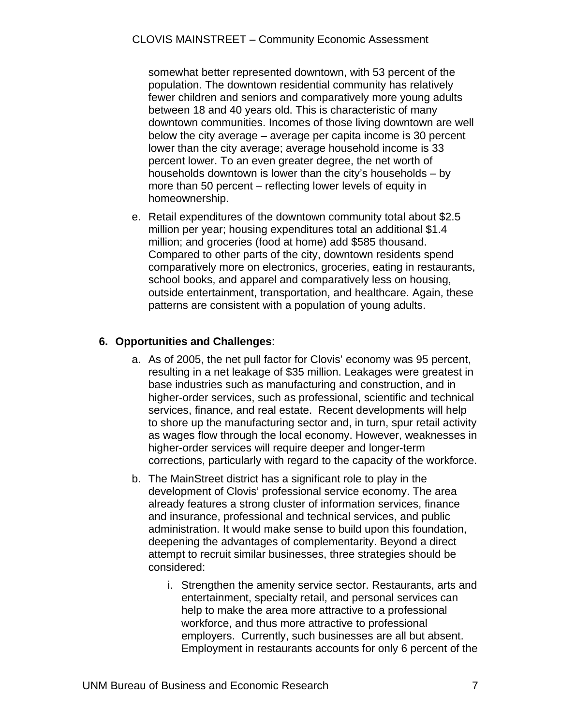somewhat better represented downtown, with 53 percent of the population. The downtown residential community has relatively fewer children and seniors and comparatively more young adults between 18 and 40 years old. This is characteristic of many downtown communities. Incomes of those living downtown are well below the city average – average per capita income is 30 percent lower than the city average; average household income is 33 percent lower. To an even greater degree, the net worth of households downtown is lower than the city's households – by more than 50 percent – reflecting lower levels of equity in homeownership.

e. Retail expenditures of the downtown community total about \$2.5 million per year; housing expenditures total an additional \$1.4 million; and groceries (food at home) add \$585 thousand. Compared to other parts of the city, downtown residents spend comparatively more on electronics, groceries, eating in restaurants, school books, and apparel and comparatively less on housing, outside entertainment, transportation, and healthcare. Again, these patterns are consistent with a population of young adults.

#### **6. Opportunities and Challenges**:

- a. As of 2005, the net pull factor for Clovis' economy was 95 percent, resulting in a net leakage of \$35 million. Leakages were greatest in base industries such as manufacturing and construction, and in higher-order services, such as professional, scientific and technical services, finance, and real estate. Recent developments will help to shore up the manufacturing sector and, in turn, spur retail activity as wages flow through the local economy. However, weaknesses in higher-order services will require deeper and longer-term corrections, particularly with regard to the capacity of the workforce.
- b. The MainStreet district has a significant role to play in the development of Clovis' professional service economy. The area already features a strong cluster of information services, finance and insurance, professional and technical services, and public administration. It would make sense to build upon this foundation, deepening the advantages of complementarity. Beyond a direct attempt to recruit similar businesses, three strategies should be considered:
	- i. Strengthen the amenity service sector. Restaurants, arts and entertainment, specialty retail, and personal services can help to make the area more attractive to a professional workforce, and thus more attractive to professional employers. Currently, such businesses are all but absent. Employment in restaurants accounts for only 6 percent of the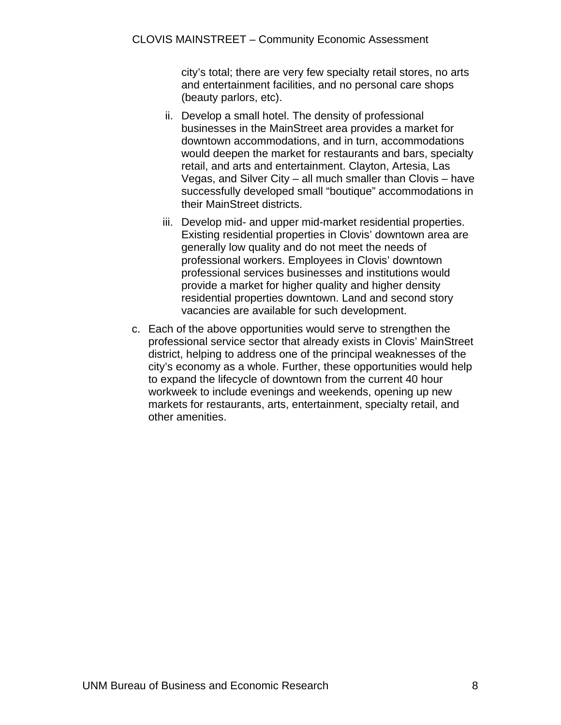city's total; there are very few specialty retail stores, no arts and entertainment facilities, and no personal care shops (beauty parlors, etc).

- ii. Develop a small hotel. The density of professional businesses in the MainStreet area provides a market for downtown accommodations, and in turn, accommodations would deepen the market for restaurants and bars, specialty retail, and arts and entertainment. Clayton, Artesia, Las Vegas, and Silver City – all much smaller than Clovis – have successfully developed small "boutique" accommodations in their MainStreet districts.
- iii. Develop mid- and upper mid-market residential properties. Existing residential properties in Clovis' downtown area are generally low quality and do not meet the needs of professional workers. Employees in Clovis' downtown professional services businesses and institutions would provide a market for higher quality and higher density residential properties downtown. Land and second story vacancies are available for such development.
- c. Each of the above opportunities would serve to strengthen the professional service sector that already exists in Clovis' MainStreet district, helping to address one of the principal weaknesses of the city's economy as a whole. Further, these opportunities would help to expand the lifecycle of downtown from the current 40 hour workweek to include evenings and weekends, opening up new markets for restaurants, arts, entertainment, specialty retail, and other amenities.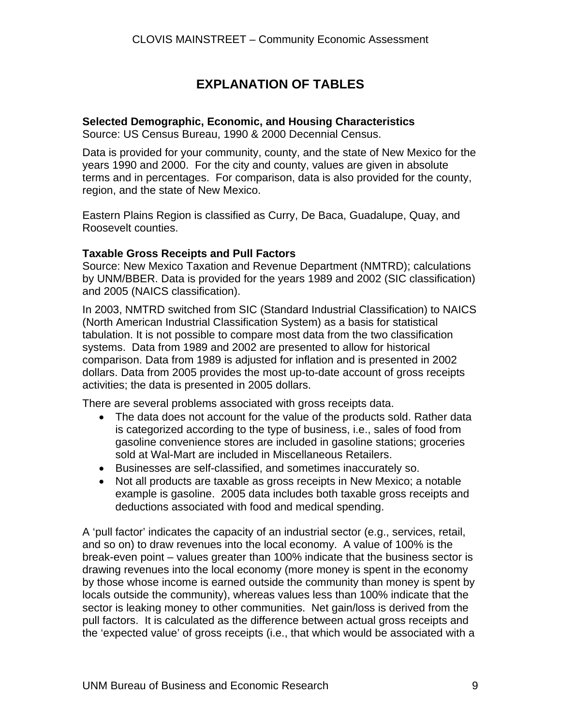## **EXPLANATION OF TABLES**

#### **Selected Demographic, Economic, and Housing Characteristics**

Source: US Census Bureau, 1990 & 2000 Decennial Census.

Data is provided for your community, county, and the state of New Mexico for the years 1990 and 2000. For the city and county, values are given in absolute terms and in percentages. For comparison, data is also provided for the county, region, and the state of New Mexico.

Eastern Plains Region is classified as Curry, De Baca, Guadalupe, Quay, and Roosevelt counties.

#### **Taxable Gross Receipts and Pull Factors**

Source: New Mexico Taxation and Revenue Department (NMTRD); calculations by UNM/BBER. Data is provided for the years 1989 and 2002 (SIC classification) and 2005 (NAICS classification).

In 2003, NMTRD switched from SIC (Standard Industrial Classification) to NAICS (North American Industrial Classification System) as a basis for statistical tabulation. It is not possible to compare most data from the two classification systems. Data from 1989 and 2002 are presented to allow for historical comparison. Data from 1989 is adjusted for inflation and is presented in 2002 dollars. Data from 2005 provides the most up-to-date account of gross receipts activities; the data is presented in 2005 dollars.

There are several problems associated with gross receipts data.

- The data does not account for the value of the products sold. Rather data is categorized according to the type of business, i.e., sales of food from gasoline convenience stores are included in gasoline stations; groceries sold at Wal-Mart are included in Miscellaneous Retailers.
- Businesses are self-classified, and sometimes inaccurately so.
- Not all products are taxable as gross receipts in New Mexico; a notable example is gasoline. 2005 data includes both taxable gross receipts and deductions associated with food and medical spending.

A 'pull factor' indicates the capacity of an industrial sector (e.g., services, retail, and so on) to draw revenues into the local economy. A value of 100% is the break-even point – values greater than 100% indicate that the business sector is drawing revenues into the local economy (more money is spent in the economy by those whose income is earned outside the community than money is spent by locals outside the community), whereas values less than 100% indicate that the sector is leaking money to other communities. Net gain/loss is derived from the pull factors. It is calculated as the difference between actual gross receipts and the 'expected value' of gross receipts (i.e., that which would be associated with a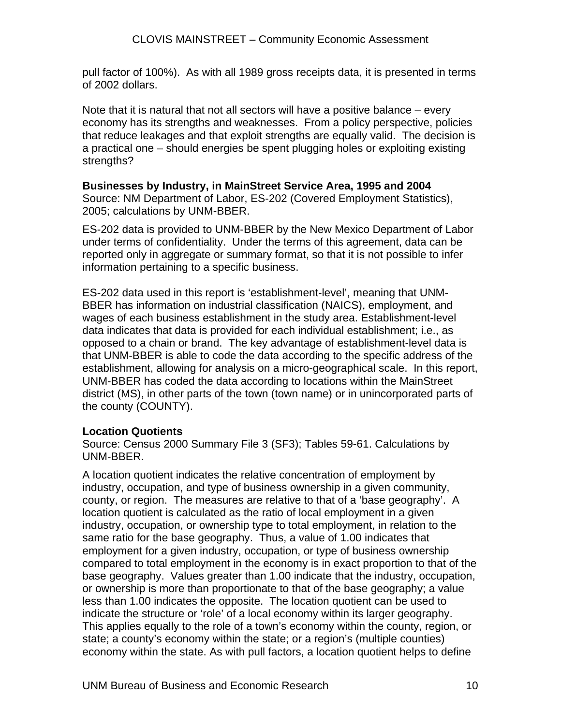pull factor of 100%). As with all 1989 gross receipts data, it is presented in terms of 2002 dollars.

Note that it is natural that not all sectors will have a positive balance – every economy has its strengths and weaknesses. From a policy perspective, policies that reduce leakages and that exploit strengths are equally valid. The decision is a practical one – should energies be spent plugging holes or exploiting existing strengths?

#### **Businesses by Industry, in MainStreet Service Area, 1995 and 2004**

Source: NM Department of Labor, ES-202 (Covered Employment Statistics), 2005; calculations by UNM-BBER.

ES-202 data is provided to UNM-BBER by the New Mexico Department of Labor under terms of confidentiality. Under the terms of this agreement, data can be reported only in aggregate or summary format, so that it is not possible to infer information pertaining to a specific business.

ES-202 data used in this report is 'establishment-level', meaning that UNM-BBER has information on industrial classification (NAICS), employment, and wages of each business establishment in the study area. Establishment-level data indicates that data is provided for each individual establishment; i.e., as opposed to a chain or brand. The key advantage of establishment-level data is that UNM-BBER is able to code the data according to the specific address of the establishment, allowing for analysis on a micro-geographical scale. In this report, UNM-BBER has coded the data according to locations within the MainStreet district (MS), in other parts of the town (town name) or in unincorporated parts of the county (COUNTY).

#### **Location Quotients**

Source: Census 2000 Summary File 3 (SF3); Tables 59-61. Calculations by UNM-BBER.

A location quotient indicates the relative concentration of employment by industry, occupation, and type of business ownership in a given community, county, or region. The measures are relative to that of a 'base geography'. A location quotient is calculated as the ratio of local employment in a given industry, occupation, or ownership type to total employment, in relation to the same ratio for the base geography. Thus, a value of 1.00 indicates that employment for a given industry, occupation, or type of business ownership compared to total employment in the economy is in exact proportion to that of the base geography. Values greater than 1.00 indicate that the industry, occupation, or ownership is more than proportionate to that of the base geography; a value less than 1.00 indicates the opposite. The location quotient can be used to indicate the structure or 'role' of a local economy within its larger geography. This applies equally to the role of a town's economy within the county, region, or state; a county's economy within the state; or a region's (multiple counties) economy within the state. As with pull factors, a location quotient helps to define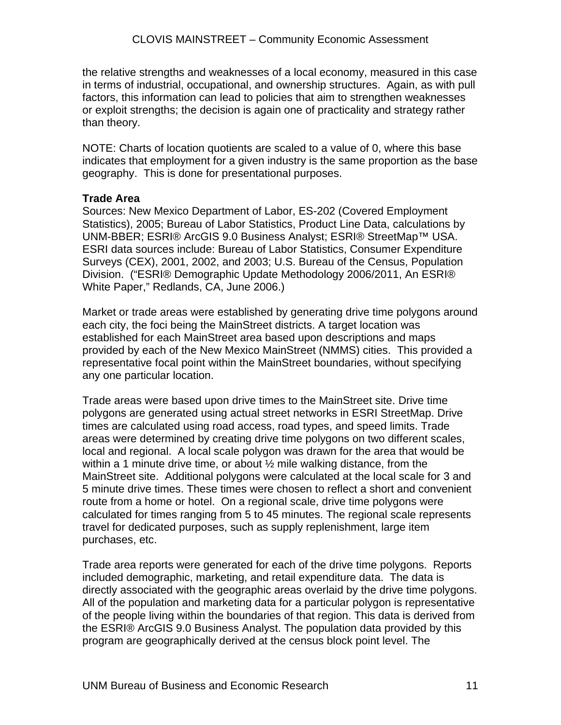the relative strengths and weaknesses of a local economy, measured in this case in terms of industrial, occupational, and ownership structures. Again, as with pull factors, this information can lead to policies that aim to strengthen weaknesses or exploit strengths; the decision is again one of practicality and strategy rather than theory.

NOTE: Charts of location quotients are scaled to a value of 0, where this base indicates that employment for a given industry is the same proportion as the base geography. This is done for presentational purposes.

#### **Trade Area**

Sources: New Mexico Department of Labor, ES-202 (Covered Employment Statistics), 2005; Bureau of Labor Statistics, Product Line Data, calculations by UNM-BBER; ESRI® ArcGIS 9.0 Business Analyst; ESRI® StreetMap™ USA. ESRI data sources include: Bureau of Labor Statistics, Consumer Expenditure Surveys (CEX), 2001, 2002, and 2003; U.S. Bureau of the Census, Population Division. ("ESRI® Demographic Update Methodology 2006/2011, An ESRI® White Paper," Redlands, CA, June 2006.)

Market or trade areas were established by generating drive time polygons around each city, the foci being the MainStreet districts. A target location was established for each MainStreet area based upon descriptions and maps provided by each of the New Mexico MainStreet (NMMS) cities. This provided a representative focal point within the MainStreet boundaries, without specifying any one particular location.

Trade areas were based upon drive times to the MainStreet site. Drive time polygons are generated using actual street networks in ESRI StreetMap. Drive times are calculated using road access, road types, and speed limits. Trade areas were determined by creating drive time polygons on two different scales, local and regional. A local scale polygon was drawn for the area that would be within a 1 minute drive time, or about  $\frac{1}{2}$  mile walking distance, from the MainStreet site. Additional polygons were calculated at the local scale for 3 and 5 minute drive times. These times were chosen to reflect a short and convenient route from a home or hotel. On a regional scale, drive time polygons were calculated for times ranging from 5 to 45 minutes. The regional scale represents travel for dedicated purposes, such as supply replenishment, large item purchases, etc.

Trade area reports were generated for each of the drive time polygons. Reports included demographic, marketing, and retail expenditure data. The data is directly associated with the geographic areas overlaid by the drive time polygons. All of the population and marketing data for a particular polygon is representative of the people living within the boundaries of that region. This data is derived from the ESRI® ArcGIS 9.0 Business Analyst. The population data provided by this program are geographically derived at the census block point level. The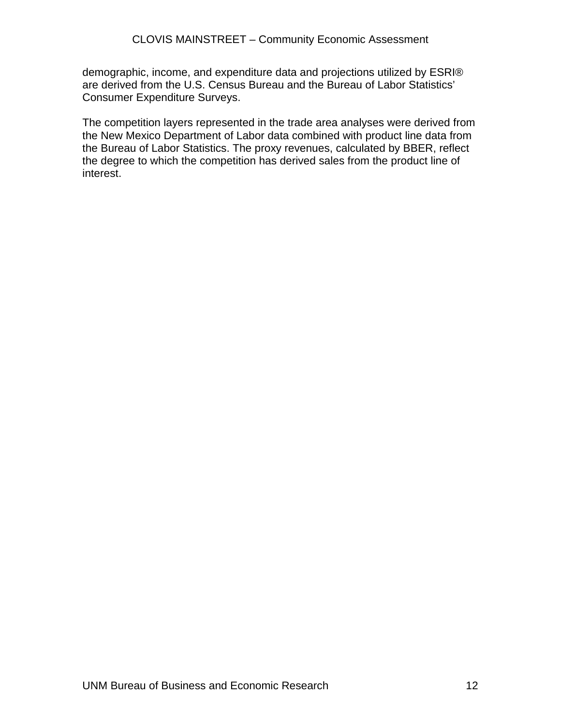demographic, income, and expenditure data and projections utilized by ESRI® are derived from the U.S. Census Bureau and the Bureau of Labor Statistics' Consumer Expenditure Surveys.

The competition layers represented in the trade area analyses were derived from the New Mexico Department of Labor data combined with product line data from the Bureau of Labor Statistics. The proxy revenues, calculated by BBER, reflect the degree to which the competition has derived sales from the product line of interest.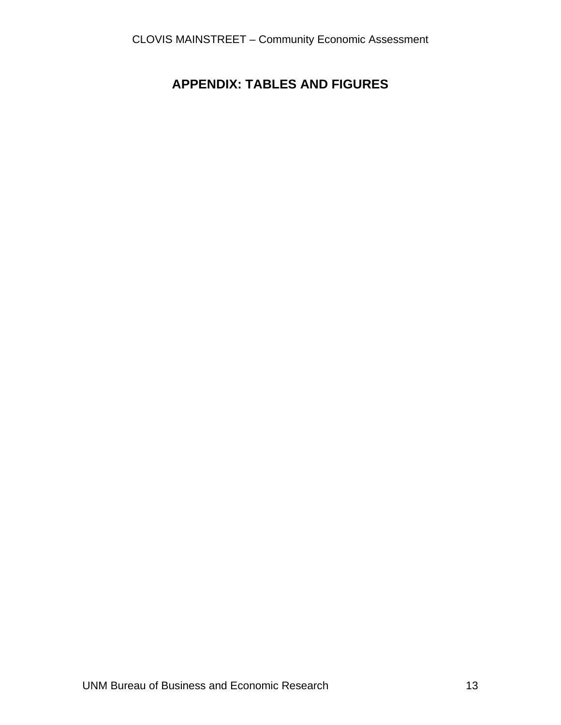## **APPENDIX: TABLES AND FIGURES**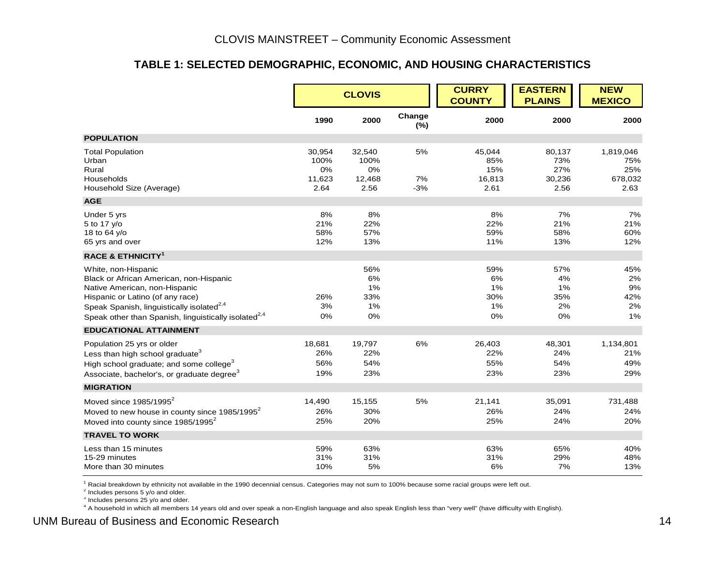#### **TABLE 1: SELECTED DEMOGRAPHIC, ECONOMIC, AND HOUSING CHARACTERISTICS**

|                                                                                                                                                                                                                                                                  |                                        | <b>CLOVIS</b>                          |                   | <b>CURRY</b><br><b>COUNTY</b>          | <b>EASTERN</b><br><b>PLAINS</b>        | <b>NEW</b><br><b>MEXICO</b>                |
|------------------------------------------------------------------------------------------------------------------------------------------------------------------------------------------------------------------------------------------------------------------|----------------------------------------|----------------------------------------|-------------------|----------------------------------------|----------------------------------------|--------------------------------------------|
|                                                                                                                                                                                                                                                                  | 1990                                   | 2000                                   | Change<br>$(\%)$  | 2000                                   | 2000                                   | 2000                                       |
| <b>POPULATION</b>                                                                                                                                                                                                                                                |                                        |                                        |                   |                                        |                                        |                                            |
| <b>Total Population</b><br>Urban<br>Rural<br>Households<br>Household Size (Average)                                                                                                                                                                              | 30,954<br>100%<br>0%<br>11,623<br>2.64 | 32,540<br>100%<br>0%<br>12,468<br>2.56 | 5%<br>7%<br>$-3%$ | 45,044<br>85%<br>15%<br>16,813<br>2.61 | 80,137<br>73%<br>27%<br>30,236<br>2.56 | 1,819,046<br>75%<br>25%<br>678,032<br>2.63 |
| <b>AGE</b>                                                                                                                                                                                                                                                       |                                        |                                        |                   |                                        |                                        |                                            |
| Under 5 yrs<br>5 to 17 y/o<br>18 to 64 y/o<br>65 yrs and over                                                                                                                                                                                                    | 8%<br>21%<br>58%<br>12%                | 8%<br>22%<br>57%<br>13%                |                   | 8%<br>22%<br>59%<br>11%                | 7%<br>21%<br>58%<br>13%                | 7%<br>21%<br>60%<br>12%                    |
| <b>RACE &amp; ETHNICITY<sup>1</sup></b>                                                                                                                                                                                                                          |                                        |                                        |                   |                                        |                                        |                                            |
| White, non-Hispanic<br>Black or African American, non-Hispanic<br>Native American, non-Hispanic<br>Hispanic or Latino (of any race)<br>Speak Spanish, linguistically isolated <sup>2,4</sup><br>Speak other than Spanish, linguistically isolated <sup>2,4</sup> | 26%<br>3%<br>0%                        | 56%<br>6%<br>1%<br>33%<br>1%<br>0%     |                   | 59%<br>6%<br>1%<br>30%<br>1%<br>0%     | 57%<br>4%<br>1%<br>35%<br>2%<br>0%     | 45%<br>2%<br>9%<br>42%<br>2%<br>1%         |
| <b>EDUCATIONAL ATTAINMENT</b>                                                                                                                                                                                                                                    |                                        |                                        |                   |                                        |                                        |                                            |
| Population 25 yrs or older<br>Less than high school graduate <sup>3</sup><br>High school graduate; and some college <sup>3</sup><br>Associate, bachelor's, or graduate degree <sup>3</sup>                                                                       | 18,681<br>26%<br>56%<br>19%            | 19,797<br>22%<br>54%<br>23%            | 6%                | 26,403<br>22%<br>55%<br>23%            | 48,301<br>24%<br>54%<br>23%            | 1,134,801<br>21%<br>49%<br>29%             |
| <b>MIGRATION</b>                                                                                                                                                                                                                                                 |                                        |                                        |                   |                                        |                                        |                                            |
| Moved since $1985/1995^2$<br>Moved to new house in county since 1985/1995 <sup>2</sup><br>Moved into county since 1985/1995 <sup>2</sup>                                                                                                                         | 14,490<br>26%<br>25%                   | 15,155<br>30%<br>20%                   | 5%                | 21,141<br>26%<br>25%                   | 35,091<br>24%<br>24%                   | 731,488<br>24%<br>20%                      |
| <b>TRAVEL TO WORK</b>                                                                                                                                                                                                                                            |                                        |                                        |                   |                                        |                                        |                                            |
| Less than 15 minutes<br>15-29 minutes<br>More than 30 minutes                                                                                                                                                                                                    | 59%<br>31%<br>10%                      | 63%<br>31%<br>5%                       |                   | 63%<br>31%<br>6%                       | 65%<br>29%<br>7%                       | 40%<br>48%<br>13%                          |

1 Racial breakdown by ethnicity not available in the 1990 decennial census. Categories may not sum to 100% because some racial groups were left out.

 $2$  Includes persons 5 y/o and older.

<sup>3</sup> Includes persons 25 y/o and older.

4 A household in which all members 14 years old and over speak a non-English language and also speak English less than "very well" (have difficulty with English).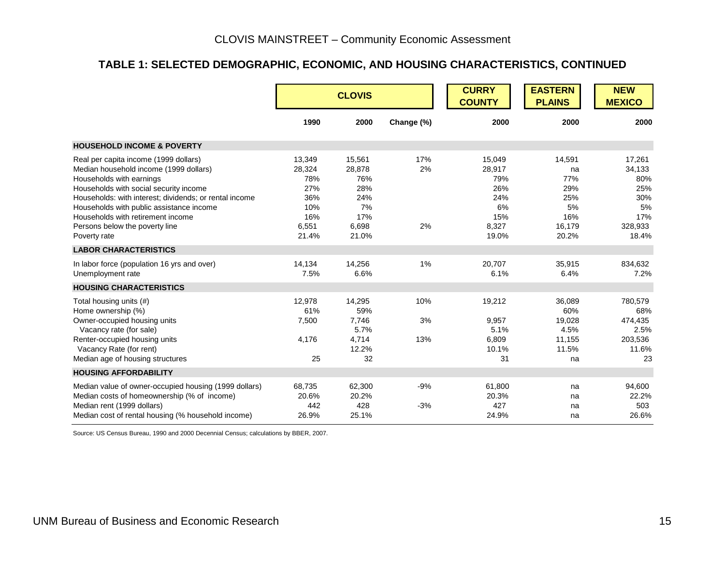#### **TABLE 1: SELECTED DEMOGRAPHIC, ECONOMIC, AND HOUSING CHARACTERISTICS, CONTINUED**

|                                                                                                                                                                                                                                                                                                                                                    |                                                                       | <b>CLOVIS</b>                                                        |                  | <b>CURRY</b><br><b>COUNTY</b>                                        | <b>EASTERN</b><br><b>PLAINS</b>                                   | <b>NEW</b><br><b>MEXICO</b>                                            |
|----------------------------------------------------------------------------------------------------------------------------------------------------------------------------------------------------------------------------------------------------------------------------------------------------------------------------------------------------|-----------------------------------------------------------------------|----------------------------------------------------------------------|------------------|----------------------------------------------------------------------|-------------------------------------------------------------------|------------------------------------------------------------------------|
|                                                                                                                                                                                                                                                                                                                                                    | 1990                                                                  | 2000                                                                 | Change (%)       | 2000                                                                 | 2000                                                              | 2000                                                                   |
| <b>HOUSEHOLD INCOME &amp; POVERTY</b>                                                                                                                                                                                                                                                                                                              |                                                                       |                                                                      |                  |                                                                      |                                                                   |                                                                        |
| Real per capita income (1999 dollars)<br>Median household income (1999 dollars)<br>Households with earnings<br>Households with social security income<br>Households: with interest; dividends; or rental income<br>Households with public assistance income<br>Households with retirement income<br>Persons below the poverty line<br>Poverty rate | 13,349<br>28,324<br>78%<br>27%<br>36%<br>10%<br>16%<br>6,551<br>21.4% | 15,561<br>28,878<br>76%<br>28%<br>24%<br>7%<br>17%<br>6,698<br>21.0% | 17%<br>2%<br>2%  | 15,049<br>28,917<br>79%<br>26%<br>24%<br>6%<br>15%<br>8,327<br>19.0% | 14,591<br>na<br>77%<br>29%<br>25%<br>5%<br>16%<br>16,179<br>20.2% | 17,261<br>34,133<br>80%<br>25%<br>30%<br>5%<br>17%<br>328,933<br>18.4% |
| <b>LABOR CHARACTERISTICS</b>                                                                                                                                                                                                                                                                                                                       |                                                                       |                                                                      |                  |                                                                      |                                                                   |                                                                        |
| In labor force (population 16 yrs and over)<br>Unemployment rate                                                                                                                                                                                                                                                                                   | 14,134<br>7.5%                                                        | 14,256<br>6.6%                                                       | 1%               | 20,707<br>6.1%                                                       | 35,915<br>6.4%                                                    | 834,632<br>7.2%                                                        |
| <b>HOUSING CHARACTERISTICS</b>                                                                                                                                                                                                                                                                                                                     |                                                                       |                                                                      |                  |                                                                      |                                                                   |                                                                        |
| Total housing units (#)<br>Home ownership (%)<br>Owner-occupied housing units<br>Vacancy rate (for sale)<br>Renter-occupied housing units<br>Vacancy Rate (for rent)                                                                                                                                                                               | 12,978<br>61%<br>7,500<br>4,176                                       | 14,295<br>59%<br>7,746<br>5.7%<br>4,714<br>12.2%                     | 10%<br>3%<br>13% | 19,212<br>9,957<br>5.1%<br>6,809<br>10.1%                            | 36,089<br>60%<br>19,028<br>4.5%<br>11,155<br>11.5%                | 780,579<br>68%<br>474,435<br>2.5%<br>203,536<br>11.6%                  |
| Median age of housing structures                                                                                                                                                                                                                                                                                                                   | 25                                                                    | 32                                                                   |                  | 31                                                                   | na                                                                | 23                                                                     |
| <b>HOUSING AFFORDABILITY</b>                                                                                                                                                                                                                                                                                                                       |                                                                       |                                                                      |                  |                                                                      |                                                                   |                                                                        |
| Median value of owner-occupied housing (1999 dollars)<br>Median costs of homeownership (% of income)<br>Median rent (1999 dollars)<br>Median cost of rental housing (% household income)                                                                                                                                                           | 68,735<br>20.6%<br>442<br>26.9%                                       | 62,300<br>20.2%<br>428<br>25.1%                                      | $-9%$<br>$-3%$   | 61,800<br>20.3%<br>427<br>24.9%                                      | na<br>na<br>na<br>na                                              | 94,600<br>22.2%<br>503<br>26.6%                                        |

Source: US Census Bureau, 1990 and 2000 Decennial Census; calculations by BBER, 2007.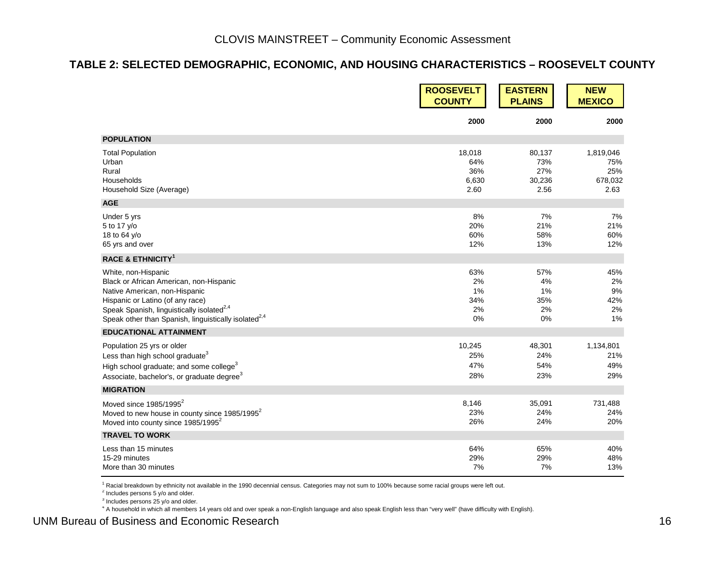#### **TABLE 2: SELECTED DEMOGRAPHIC, ECONOMIC, AND HOUSING CHARACTERISTICS – ROOSEVELT COUNTY**

|                                                                  | <b>ROOSEVELT</b> | <b>EASTERN</b> | <b>NEW</b>    |
|------------------------------------------------------------------|------------------|----------------|---------------|
|                                                                  | <b>COUNTY</b>    | <b>PLAINS</b>  | <b>MEXICO</b> |
|                                                                  | 2000             | 2000           | 2000          |
| <b>POPULATION</b>                                                |                  |                |               |
| <b>Total Population</b>                                          | 18,018           | 80,137         | 1,819,046     |
| Urban                                                            | 64%              | 73%            | 75%           |
| Rural                                                            | 36%              | 27%            | 25%           |
| Households                                                       | 6,630            | 30,236         | 678,032       |
| Household Size (Average)                                         | 2.60             | 2.56           | 2.63          |
| <b>AGE</b>                                                       |                  |                |               |
| Under 5 yrs                                                      | 8%               | 7%             | 7%            |
| 5 to 17 y/o                                                      | 20%              | 21%            | 21%           |
| 18 to 64 y/o                                                     | 60%              | 58%            | 60%           |
| 65 yrs and over                                                  | 12%              | 13%            | 12%           |
| <b>RACE &amp; ETHNICITY<sup>1</sup></b>                          |                  |                |               |
| White, non-Hispanic                                              | 63%              | 57%            | 45%           |
| Black or African American, non-Hispanic                          | 2%               | 4%             | 2%            |
| Native American, non-Hispanic                                    | 1%               | 1%             | 9%            |
| Hispanic or Latino (of any race)                                 | 34%              | 35%            | 42%           |
| Speak Spanish, linguistically isolated <sup>2,4</sup>            | 2%               | 2%             | 2%            |
| Speak other than Spanish, linguistically isolated <sup>2,4</sup> | 0%               | 0%             | 1%            |
| <b>EDUCATIONAL ATTAINMENT</b>                                    |                  |                |               |
| Population 25 yrs or older                                       | 10,245           | 48,301         | 1,134,801     |
| Less than high school graduate <sup>3</sup>                      | 25%              | 24%            | 21%           |
| High school graduate; and some college <sup>3</sup>              | 47%              | 54%            | 49%           |
| Associate, bachelor's, or graduate degree <sup>3</sup>           | 28%              | 23%            | 29%           |
| <b>MIGRATION</b>                                                 |                  |                |               |
| Moved since 1985/1995 <sup>2</sup>                               | 8,146            | 35,091         | 731,488       |
| Moved to new house in county since 1985/1995 <sup>2</sup>        | 23%              | 24%            | 24%           |
| Moved into county since 1985/1995 <sup>2</sup>                   | 26%              | 24%            | 20%           |
| <b>TRAVEL TO WORK</b>                                            |                  |                |               |
| Less than 15 minutes                                             | 64%              | 65%            | 40%           |
| 15-29 minutes                                                    | 29%              | 29%            | 48%           |
| More than 30 minutes                                             | 7%               | 7%             | 13%           |

<sup>1</sup> Racial breakdown by ethnicity not available in the 1990 decennial census. Categories may not sum to 100% because some racial groups were left out.

 $2$  Includes persons 5 y/o and older.

<sup>3</sup> Includes persons 25 y/o and older.

4 A household in which all members 14 years old and over speak a non-English language and also speak English less than "very well" (have difficulty with English).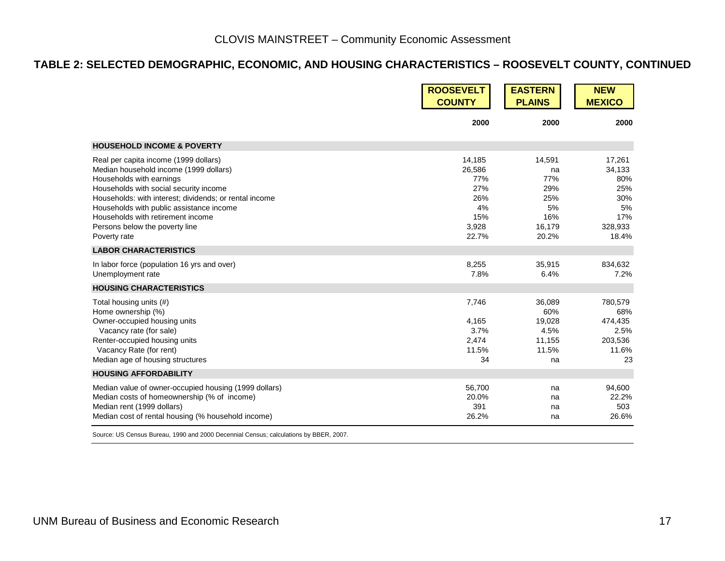#### **TABLE 2: SELECTED DEMOGRAPHIC, ECONOMIC, AND HOUSING CHARACTERISTICS – ROOSEVELT COUNTY, CONTINUED**

|                                                                                                                                                                                                                                                                                                                                                    | <b>ROOSEVELT</b><br><b>COUNTY</b>                                    | <b>EASTERN</b><br><b>PLAINS</b>                                   | <b>NEW</b><br><b>MEXICO</b>                                            |
|----------------------------------------------------------------------------------------------------------------------------------------------------------------------------------------------------------------------------------------------------------------------------------------------------------------------------------------------------|----------------------------------------------------------------------|-------------------------------------------------------------------|------------------------------------------------------------------------|
|                                                                                                                                                                                                                                                                                                                                                    | 2000                                                                 | 2000                                                              | 2000                                                                   |
| <b>HOUSEHOLD INCOME &amp; POVERTY</b>                                                                                                                                                                                                                                                                                                              |                                                                      |                                                                   |                                                                        |
| Real per capita income (1999 dollars)<br>Median household income (1999 dollars)<br>Households with earnings<br>Households with social security income<br>Households: with interest; dividends; or rental income<br>Households with public assistance income<br>Households with retirement income<br>Persons below the poverty line<br>Poverty rate | 14,185<br>26,586<br>77%<br>27%<br>26%<br>4%<br>15%<br>3,928<br>22.7% | 14,591<br>na<br>77%<br>29%<br>25%<br>5%<br>16%<br>16,179<br>20.2% | 17,261<br>34,133<br>80%<br>25%<br>30%<br>5%<br>17%<br>328,933<br>18.4% |
| <b>LABOR CHARACTERISTICS</b>                                                                                                                                                                                                                                                                                                                       |                                                                      |                                                                   |                                                                        |
| In labor force (population 16 yrs and over)<br>Unemployment rate                                                                                                                                                                                                                                                                                   | 8,255<br>7.8%                                                        | 35,915<br>6.4%                                                    | 834,632<br>7.2%                                                        |
| <b>HOUSING CHARACTERISTICS</b>                                                                                                                                                                                                                                                                                                                     |                                                                      |                                                                   |                                                                        |
| Total housing units (#)<br>Home ownership (%)<br>Owner-occupied housing units<br>Vacancy rate (for sale)<br>Renter-occupied housing units<br>Vacancy Rate (for rent)<br>Median age of housing structures                                                                                                                                           | 7,746<br>4,165<br>3.7%<br>2,474<br>11.5%<br>34                       | 36,089<br>60%<br>19,028<br>4.5%<br>11,155<br>11.5%<br>na          | 780,579<br>68%<br>474,435<br>2.5%<br>203,536<br>11.6%<br>23            |
| <b>HOUSING AFFORDABILITY</b>                                                                                                                                                                                                                                                                                                                       |                                                                      |                                                                   |                                                                        |
| Median value of owner-occupied housing (1999 dollars)<br>Median costs of homeownership (% of income)<br>Median rent (1999 dollars)<br>Median cost of rental housing (% household income)                                                                                                                                                           | 56,700<br>20.0%<br>391<br>26.2%                                      | na<br>na<br>na<br>na                                              | 94,600<br>22.2%<br>503<br>26.6%                                        |

Source: US Census Bureau, 1990 and 2000 Decennial Census; calculations by BBER, 2007.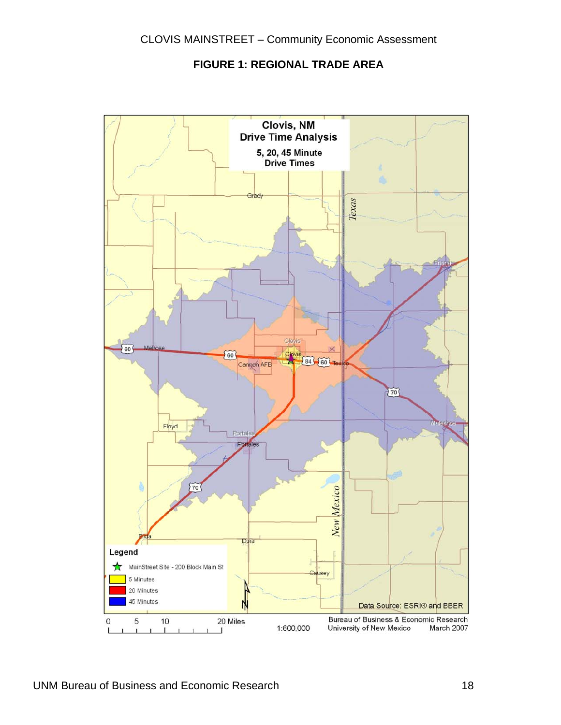#### **FIGURE 1: REGIONAL TRADE AREA**

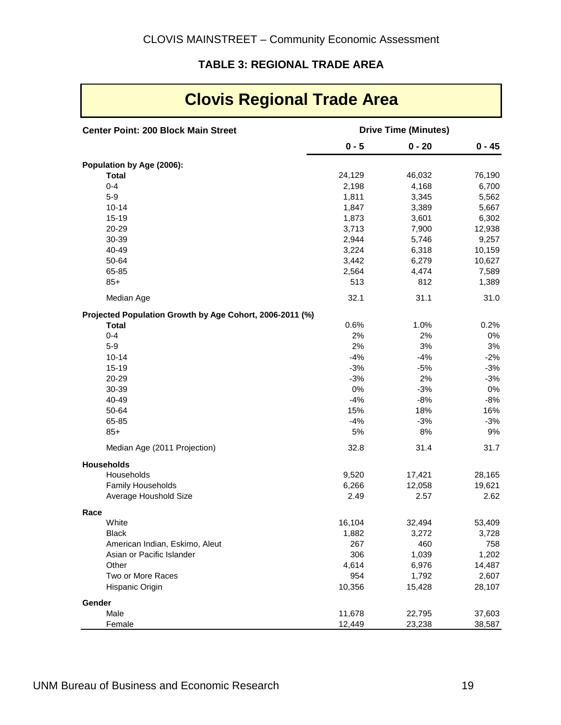#### **TABLE 3: REGIONAL TRADE AREA**

| <b>Clovis Regional Trade Area</b>                        |                             |                  |                  |  |
|----------------------------------------------------------|-----------------------------|------------------|------------------|--|
| <b>Center Point: 200 Block Main Street</b>               | <b>Drive Time (Minutes)</b> |                  |                  |  |
|                                                          | $0 - 5$                     | $0 - 20$         | $0 - 45$         |  |
| Population by Age (2006):                                |                             |                  |                  |  |
| <b>Total</b>                                             | 24,129                      | 46,032           | 76,190           |  |
| $0 - 4$                                                  | 2,198                       | 4,168            | 6,700            |  |
| $5-9$                                                    | 1,811                       | 3,345            | 5,562            |  |
| $10 - 14$                                                | 1,847                       | 3,389            | 5,667            |  |
| $15 - 19$                                                | 1,873                       | 3,601            | 6,302            |  |
| 20-29                                                    | 3,713                       | 7,900            | 12,938           |  |
| 30-39                                                    | 2,944                       | 5,746            | 9,257            |  |
| 40-49                                                    | 3,224                       | 6,318            | 10,159           |  |
| 50-64                                                    | 3,442                       | 6,279            | 10,627           |  |
| 65-85                                                    | 2,564                       | 4,474            | 7,589            |  |
| $85+$                                                    | 513                         | 812              | 1,389            |  |
| Median Age                                               | 32.1                        | 31.1             | 31.0             |  |
| Projected Population Growth by Age Cohort, 2006-2011 (%) |                             |                  |                  |  |
| <b>Total</b>                                             | 0.6%                        | 1.0%             | 0.2%             |  |
| $0 - 4$                                                  | 2%                          | 2%               | 0%               |  |
| $5-9$                                                    | 2%                          | 3%               | 3%               |  |
| $10 - 14$                                                | $-4%$                       | $-4%$            | $-2%$            |  |
| $15 - 19$                                                | $-3%$                       | $-5%$            | $-3%$            |  |
| 20-29                                                    | $-3%$                       | 2%               | $-3%$            |  |
| 30-39                                                    | 0%                          | $-3%$            | 0%               |  |
| 40-49                                                    | $-4%$                       | $-8%$            | $-8%$            |  |
| 50-64                                                    | 15%                         | 18%              | 16%              |  |
| 65-85                                                    | $-4%$                       | $-3%$            | $-3%$            |  |
| $85+$                                                    | 5%                          | 8%               | 9%               |  |
| Median Age (2011 Projection)                             | 32.8                        | 31.4             | 31.7             |  |
| <b>Households</b><br>Households                          | 9,520                       |                  |                  |  |
| <b>Family Households</b>                                 | 6,266                       | 17,421<br>12,058 | 28,165<br>19,621 |  |
| Average Houshold Size                                    | 2.49                        | 2.57             | 2.62             |  |
| Race                                                     |                             |                  |                  |  |
| White                                                    | 16,104                      | 32,494           | 53,409           |  |
| <b>Black</b>                                             | 1,882                       | 3,272            | 3,728            |  |
| American Indian, Eskimo, Aleut                           | 267                         | 460              | 758              |  |
| Asian or Pacific Islander                                | 306                         | 1,039            | 1,202            |  |
| Other                                                    | 4,614                       | 6,976            | 14,487           |  |
| Two or More Races                                        | 954                         | 1,792            | 2,607            |  |
| Hispanic Origin                                          | 10,356                      | 15,428           | 28,107           |  |
| Gender                                                   |                             |                  |                  |  |
| Male                                                     | 11,678                      | 22,795           | 37,603           |  |
| Female                                                   | 12,449                      | 23,238           | 38,587           |  |

 $\mathbf{r}$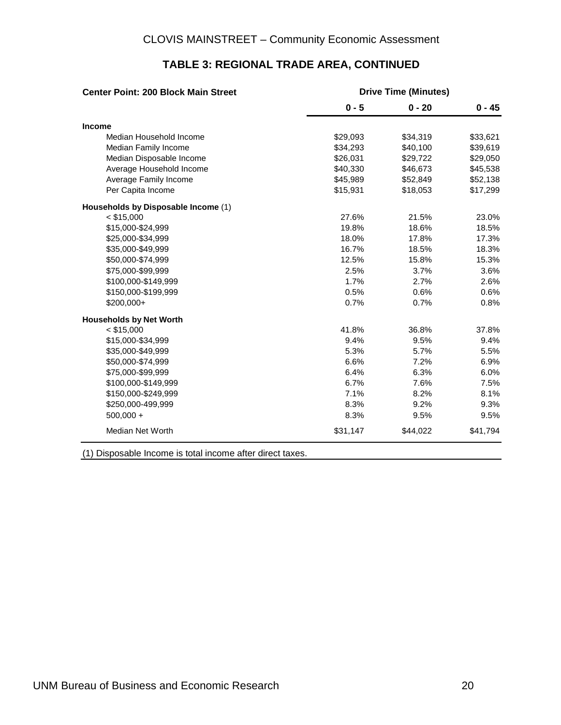| <b>Center Point: 200 Block Main Street</b> | <b>Drive Time (Minutes)</b> |          |          |  |  |  |
|--------------------------------------------|-----------------------------|----------|----------|--|--|--|
|                                            | $0 - 5$                     | $0 - 20$ | $0 - 45$ |  |  |  |
| Income                                     |                             |          |          |  |  |  |
| Median Household Income                    | \$29,093                    | \$34,319 | \$33,621 |  |  |  |
| Median Family Income                       | \$34,293                    | \$40,100 | \$39,619 |  |  |  |
| Median Disposable Income                   | \$26,031                    | \$29,722 | \$29,050 |  |  |  |
| Average Household Income                   | \$40,330                    | \$46,673 | \$45,538 |  |  |  |
| Average Family Income                      | \$45,989                    | \$52,849 | \$52,138 |  |  |  |
| Per Capita Income                          | \$15,931                    | \$18,053 | \$17,299 |  |  |  |
| Households by Disposable Income (1)        |                             |          |          |  |  |  |
| $<$ \$15,000                               | 27.6%                       | 21.5%    | 23.0%    |  |  |  |
| \$15,000-\$24,999                          | 19.8%                       | 18.6%    | 18.5%    |  |  |  |
| \$25,000-\$34,999                          | 18.0%                       | 17.8%    | 17.3%    |  |  |  |
| \$35,000-\$49,999                          | 16.7%                       | 18.5%    | 18.3%    |  |  |  |
| \$50,000-\$74,999                          | 12.5%                       | 15.8%    | 15.3%    |  |  |  |
| \$75,000-\$99,999                          | 2.5%                        | 3.7%     | 3.6%     |  |  |  |
| \$100,000-\$149,999                        | 1.7%                        | 2.7%     | 2.6%     |  |  |  |
| \$150,000-\$199,999                        | 0.5%                        | 0.6%     | 0.6%     |  |  |  |
| \$200,000+                                 | 0.7%                        | 0.7%     | 0.8%     |  |  |  |
| <b>Households by Net Worth</b>             |                             |          |          |  |  |  |
| $<$ \$15,000                               | 41.8%                       | 36.8%    | 37.8%    |  |  |  |
| \$15,000-\$34,999                          | 9.4%                        | 9.5%     | 9.4%     |  |  |  |
| \$35,000-\$49,999                          | 5.3%                        | 5.7%     | 5.5%     |  |  |  |
| \$50,000-\$74,999                          | 6.6%                        | 7.2%     | 6.9%     |  |  |  |
| \$75,000-\$99,999                          | 6.4%                        | 6.3%     | 6.0%     |  |  |  |
| \$100,000-\$149,999                        | 6.7%                        | 7.6%     | 7.5%     |  |  |  |
| \$150,000-\$249,999                        | 7.1%                        | 8.2%     | 8.1%     |  |  |  |
| \$250,000-499,999                          | 8.3%                        | 9.2%     | 9.3%     |  |  |  |
| $500,000 +$                                | 8.3%                        | 9.5%     | 9.5%     |  |  |  |
| Median Net Worth                           | \$31,147                    | \$44,022 | \$41,794 |  |  |  |

#### **TABLE 3: REGIONAL TRADE AREA, CONTINUED**

(1) Disposable Income is total income after direct taxes.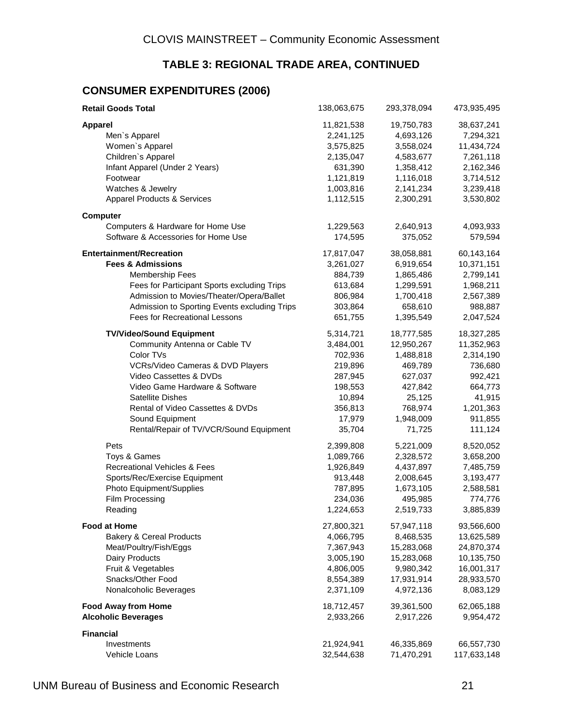#### **TABLE 3: REGIONAL TRADE AREA, CONTINUED**

#### **CONSUMER EXPENDITURES (2006)**

| <b>Retail Goods Total</b>                    | 138,063,675 | 293,378,094 | 473,935,495 |
|----------------------------------------------|-------------|-------------|-------------|
| <b>Apparel</b>                               | 11,821,538  | 19,750,783  | 38,637,241  |
| Men's Apparel                                | 2,241,125   | 4,693,126   | 7,294,321   |
| Women's Apparel                              | 3,575,825   | 3,558,024   | 11,434,724  |
| Children's Apparel                           | 2,135,047   | 4,583,677   | 7,261,118   |
| Infant Apparel (Under 2 Years)               | 631,390     | 1,358,412   | 2,162,346   |
| Footwear                                     | 1,121,819   | 1,116,018   | 3,714,512   |
| Watches & Jewelry                            | 1,003,816   | 2,141,234   | 3,239,418   |
| <b>Apparel Products &amp; Services</b>       | 1,112,515   | 2,300,291   | 3,530,802   |
| <b>Computer</b>                              |             |             |             |
| Computers & Hardware for Home Use            | 1,229,563   | 2,640,913   | 4,093,933   |
| Software & Accessories for Home Use          | 174,595     | 375,052     | 579,594     |
| <b>Entertainment/Recreation</b>              | 17,817,047  | 38,058,881  | 60,143,164  |
| <b>Fees &amp; Admissions</b>                 | 3,261,027   | 6,919,654   | 10,371,151  |
| <b>Membership Fees</b>                       | 884,739     | 1,865,486   | 2,799,141   |
| Fees for Participant Sports excluding Trips  | 613,684     | 1,299,591   | 1,968,211   |
| Admission to Movies/Theater/Opera/Ballet     | 806,984     | 1,700,418   | 2,567,389   |
| Admission to Sporting Events excluding Trips | 303,864     | 658,610     | 988,887     |
| <b>Fees for Recreational Lessons</b>         | 651,755     | 1,395,549   | 2,047,524   |
| <b>TV/Video/Sound Equipment</b>              | 5,314,721   | 18,777,585  | 18,327,285  |
| Community Antenna or Cable TV                | 3,484,001   | 12,950,267  | 11,352,963  |
| Color TVs                                    | 702,936     | 1,488,818   | 2,314,190   |
| VCRs/Video Cameras & DVD Players             | 219,896     | 469,789     | 736,680     |
| Video Cassettes & DVDs                       | 287,945     | 627,037     | 992,421     |
| Video Game Hardware & Software               | 198,553     | 427,842     | 664,773     |
| <b>Satellite Dishes</b>                      | 10,894      | 25,125      | 41,915      |
| Rental of Video Cassettes & DVDs             | 356,813     | 768,974     | 1,201,363   |
| Sound Equipment                              | 17,979      | 1,948,009   | 911,855     |
| Rental/Repair of TV/VCR/Sound Equipment      | 35,704      | 71,725      | 111,124     |
| Pets                                         | 2,399,808   | 5,221,009   | 8,520,052   |
| Toys & Games                                 | 1,089,766   | 2,328,572   | 3,658,200   |
| <b>Recreational Vehicles &amp; Fees</b>      | 1,926,849   | 4,437,897   | 7,485,759   |
| Sports/Rec/Exercise Equipment                | 913,448     | 2,008,645   | 3,193,477   |
| Photo Equipment/Supplies                     | 787,895     | 1,673,105   | 2,588,581   |
| <b>Film Processing</b>                       | 234,036     | 495,985     | 774,776     |
| Reading                                      | 1,224,653   | 2,519,733   | 3,885,839   |
| <b>Food at Home</b>                          | 27,800,321  | 57,947,118  | 93,566,600  |
| <b>Bakery &amp; Cereal Products</b>          | 4,066,795   | 8,468,535   | 13,625,589  |
| Meat/Poultry/Fish/Eggs                       | 7,367,943   | 15,283,068  | 24,870,374  |
| Dairy Products                               | 3,005,190   | 15,283,068  | 10,135,750  |
| Fruit & Vegetables                           | 4,806,005   | 9,980,342   | 16,001,317  |
| Snacks/Other Food                            | 8,554,389   | 17,931,914  | 28,933,570  |
| Nonalcoholic Beverages                       | 2,371,109   | 4,972,136   | 8,083,129   |
| <b>Food Away from Home</b>                   | 18,712,457  | 39,361,500  | 62,065,188  |
| <b>Alcoholic Beverages</b>                   | 2,933,266   | 2,917,226   | 9,954,472   |
| <b>Financial</b>                             |             |             |             |
| Investments                                  | 21,924,941  | 46,335,869  | 66,557,730  |
| Vehicle Loans                                | 32,544,638  | 71,470,291  | 117,633,148 |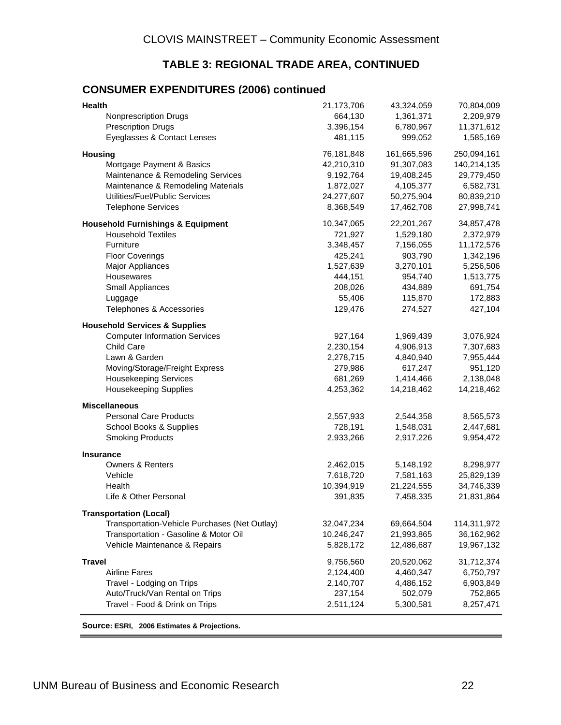#### **TABLE 3: REGIONAL TRADE AREA, CONTINUED**

#### **CONSUMER EXPENDITURES (2006) continued**

| <b>Health</b>                                 | 21,173,706 | 43,324,059  | 70,804,009  |
|-----------------------------------------------|------------|-------------|-------------|
| <b>Nonprescription Drugs</b>                  | 664,130    | 1,361,371   | 2,209,979   |
| <b>Prescription Drugs</b>                     | 3,396,154  | 6,780,967   | 11,371,612  |
| Eyeglasses & Contact Lenses                   | 481,115    | 999,052     | 1,585,169   |
| <b>Housing</b>                                | 76,181,848 | 161,665,596 | 250,094,161 |
| Mortgage Payment & Basics                     | 42,210,310 | 91,307,083  | 140,214,135 |
| Maintenance & Remodeling Services             | 9,192,764  | 19,408,245  | 29,779,450  |
| Maintenance & Remodeling Materials            | 1,872,027  | 4,105,377   | 6,582,731   |
| Utilities/Fuel/Public Services                | 24,277,607 | 50,275,904  | 80,839,210  |
| <b>Telephone Services</b>                     | 8,368,549  | 17,462,708  | 27,998,741  |
| <b>Household Furnishings &amp; Equipment</b>  | 10,347,065 | 22,201,267  | 34,857,478  |
| <b>Household Textiles</b>                     | 721,927    | 1,529,180   | 2,372,979   |
| Furniture                                     | 3,348,457  | 7,156,055   | 11,172,576  |
| <b>Floor Coverings</b>                        | 425,241    | 903,790     | 1,342,196   |
| Major Appliances                              | 1,527,639  | 3,270,101   | 5,256,506   |
| Housewares                                    | 444,151    | 954,740     | 1,513,775   |
| Small Appliances                              | 208,026    | 434,889     | 691,754     |
| Luggage                                       | 55,406     | 115,870     | 172,883     |
| Telephones & Accessories                      | 129,476    | 274,527     | 427,104     |
| <b>Household Services &amp; Supplies</b>      |            |             |             |
| <b>Computer Information Services</b>          | 927,164    | 1,969,439   | 3,076,924   |
| Child Care                                    | 2,230,154  | 4,906,913   | 7,307,683   |
| Lawn & Garden                                 | 2,278,715  | 4,840,940   | 7,955,444   |
| Moving/Storage/Freight Express                | 279,986    | 617,247     | 951,120     |
| <b>Housekeeping Services</b>                  | 681,269    | 1,414,466   | 2,138,048   |
| <b>Housekeeping Supplies</b>                  | 4,253,362  | 14,218,462  | 14,218,462  |
| <b>Miscellaneous</b>                          |            |             |             |
| <b>Personal Care Products</b>                 | 2,557,933  | 2,544,358   | 8,565,573   |
| School Books & Supplies                       | 728,191    | 1,548,031   | 2,447,681   |
| <b>Smoking Products</b>                       | 2,933,266  | 2,917,226   | 9,954,472   |
| <b>Insurance</b>                              |            |             |             |
| Owners & Renters                              | 2,462,015  | 5,148,192   | 8,298,977   |
| Vehicle                                       | 7,618,720  | 7,581,163   | 25,829,139  |
| Health                                        | 10,394,919 | 21,224,555  | 34,746,339  |
| Life & Other Personal                         | 391,835    | 7,458,335   | 21,831,864  |
| <b>Transportation (Local)</b>                 |            |             |             |
| Transportation-Vehicle Purchases (Net Outlay) | 32,047,234 | 69,664,504  | 114,311,972 |
| Transportation - Gasoline & Motor Oil         | 10,246,247 | 21,993,865  | 36,162,962  |
| Vehicle Maintenance & Repairs                 | 5,828,172  | 12,486,687  | 19,967,132  |
| <b>Travel</b>                                 | 9,756,560  | 20,520,062  | 31,712,374  |
| <b>Airline Fares</b>                          | 2,124,400  | 4,460,347   | 6,750,797   |
| Travel - Lodging on Trips                     | 2,140,707  | 4,486,152   | 6,903,849   |
| Auto/Truck/Van Rental on Trips                | 237,154    | 502,079     | 752,865     |
| Travel - Food & Drink on Trips                | 2,511,124  | 5,300,581   | 8,257,471   |
|                                               |            |             |             |

**Source: ESRI, 2006 Estimates & Projections.**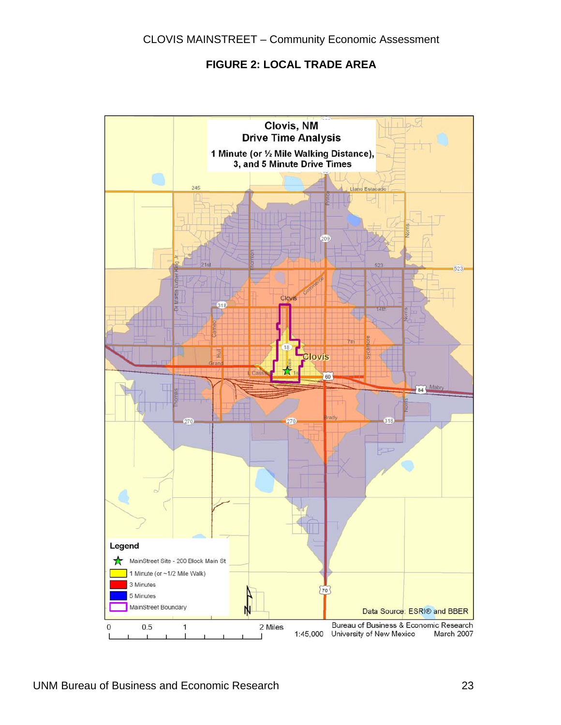#### **FIGURE 2: LOCAL TRADE AREA**

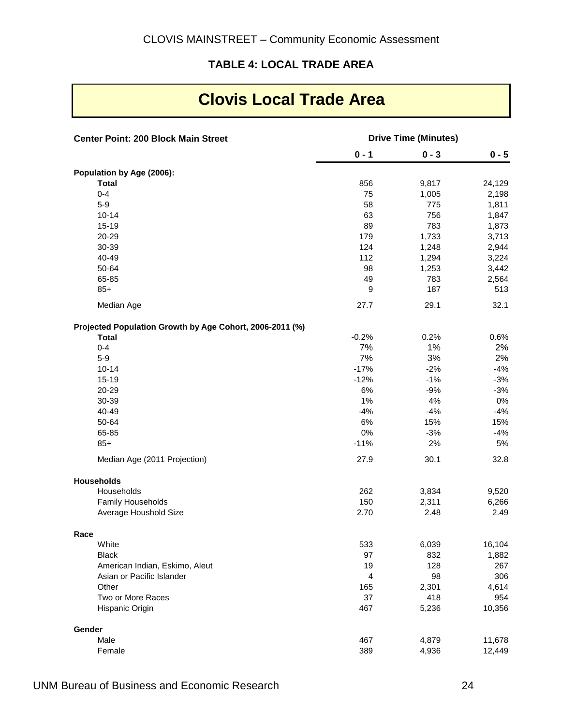#### **TABLE 4: LOCAL TRADE AREA**

## **Clovis Local Trade Area**

| <b>Center Point: 200 Block Main Street</b>               |                         | <b>Drive Time (Minutes)</b> |         |
|----------------------------------------------------------|-------------------------|-----------------------------|---------|
|                                                          | $0 - 1$                 | $0 - 3$                     | $0 - 5$ |
| Population by Age (2006):                                |                         |                             |         |
| <b>Total</b>                                             | 856                     | 9,817                       | 24,129  |
| $0 - 4$                                                  | 75                      | 1,005                       | 2,198   |
| $5-9$                                                    | 58                      | 775                         | 1,811   |
| $10 - 14$                                                | 63                      | 756                         | 1,847   |
| $15 - 19$                                                | 89                      | 783                         | 1,873   |
| 20-29                                                    | 179                     | 1,733                       | 3,713   |
| 30-39                                                    | 124                     | 1,248                       | 2,944   |
| 40-49                                                    | 112                     | 1,294                       | 3,224   |
| 50-64                                                    | 98                      | 1,253                       | 3,442   |
| 65-85                                                    | 49                      | 783                         | 2,564   |
| $85+$                                                    | 9                       | 187                         | 513     |
| Median Age                                               | 27.7                    | 29.1                        | 32.1    |
| Projected Population Growth by Age Cohort, 2006-2011 (%) |                         |                             |         |
| <b>Total</b>                                             | $-0.2%$                 | 0.2%                        | 0.6%    |
| $0 - 4$                                                  | 7%                      | 1%                          | 2%      |
| $5-9$                                                    | 7%                      | 3%                          | 2%      |
| $10 - 14$                                                | $-17%$                  | $-2%$                       | $-4%$   |
| 15-19                                                    | $-12%$                  | $-1%$                       | $-3%$   |
| 20-29                                                    | $6\%$                   | $-9%$                       | $-3%$   |
| 30-39                                                    | 1%                      | 4%                          | $0\%$   |
| 40-49                                                    | $-4%$                   | $-4%$                       | $-4%$   |
| 50-64                                                    | $6\%$                   | 15%                         | 15%     |
| 65-85                                                    | $0\%$                   | $-3%$                       | $-4%$   |
| $85+$                                                    | $-11%$                  | 2%                          | 5%      |
| Median Age (2011 Projection)                             | 27.9                    | 30.1                        | 32.8    |
| <b>Households</b>                                        |                         |                             |         |
| Households                                               | 262                     | 3,834                       | 9,520   |
| Family Households                                        | 150                     | 2,311                       | 6,266   |
| Average Houshold Size                                    | 2.70                    | 2.48                        | 2.49    |
| Race                                                     |                         |                             |         |
| White                                                    | 533                     | 6,039                       | 16,104  |
| <b>Black</b>                                             | 97                      | 832                         | 1,882   |
| American Indian, Eskimo, Aleut                           | 19                      | 128                         | 267     |
| Asian or Pacific Islander                                | $\overline{\mathbf{4}}$ | 98                          | 306     |
| Other                                                    | 165                     | 2,301                       | 4,614   |
| Two or More Races                                        | 37                      | 418                         | 954     |
| Hispanic Origin                                          | 467                     | 5,236                       | 10,356  |
| Gender                                                   |                         |                             |         |
| Male                                                     | 467                     | 4,879                       | 11,678  |
| Female                                                   | 389                     | 4,936                       | 12,449  |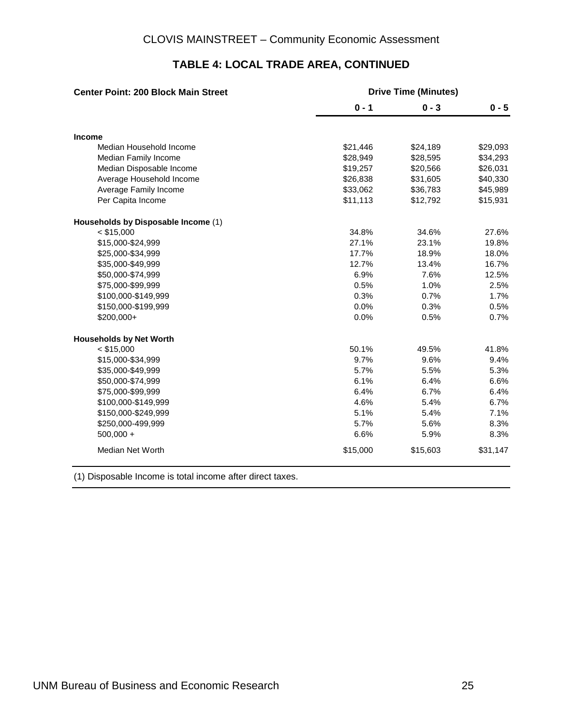| <b>Center Point: 200 Block Main Street</b> | <b>Drive Time (Minutes)</b> |          |          |  |  |  |  |
|--------------------------------------------|-----------------------------|----------|----------|--|--|--|--|
|                                            | $0 - 1$                     | $0 - 3$  | $0 - 5$  |  |  |  |  |
| <b>Income</b>                              |                             |          |          |  |  |  |  |
| Median Household Income                    | \$21,446                    | \$24,189 | \$29,093 |  |  |  |  |
| Median Family Income                       | \$28,949                    | \$28,595 | \$34,293 |  |  |  |  |
| Median Disposable Income                   | \$19,257                    | \$20,566 | \$26,031 |  |  |  |  |
| Average Household Income                   | \$26,838                    | \$31,605 | \$40,330 |  |  |  |  |
| Average Family Income                      | \$33,062                    | \$36,783 | \$45,989 |  |  |  |  |
| Per Capita Income                          | \$11,113                    | \$12,792 | \$15,931 |  |  |  |  |
| Households by Disposable Income (1)        |                             |          |          |  |  |  |  |
| $<$ \$15,000                               | 34.8%                       | 34.6%    | 27.6%    |  |  |  |  |
| \$15,000-\$24,999                          | 27.1%                       | 23.1%    | 19.8%    |  |  |  |  |
| \$25,000-\$34,999                          | 17.7%                       | 18.9%    | 18.0%    |  |  |  |  |
| \$35,000-\$49,999                          | 12.7%                       | 13.4%    | 16.7%    |  |  |  |  |
| \$50,000-\$74,999                          | 6.9%                        | 7.6%     | 12.5%    |  |  |  |  |
| \$75,000-\$99,999                          | 0.5%                        | 1.0%     | 2.5%     |  |  |  |  |
| \$100,000-\$149,999                        | 0.3%                        | 0.7%     | 1.7%     |  |  |  |  |
| \$150,000-\$199,999                        | 0.0%                        | 0.3%     | 0.5%     |  |  |  |  |
| \$200,000+                                 | 0.0%                        | 0.5%     | 0.7%     |  |  |  |  |
| <b>Households by Net Worth</b>             |                             |          |          |  |  |  |  |
| $<$ \$15,000                               | 50.1%                       | 49.5%    | 41.8%    |  |  |  |  |
| \$15,000-\$34,999                          | 9.7%                        | 9.6%     | 9.4%     |  |  |  |  |
| \$35,000-\$49,999                          | 5.7%                        | 5.5%     | 5.3%     |  |  |  |  |
| \$50,000-\$74,999                          | 6.1%                        | 6.4%     | 6.6%     |  |  |  |  |
| \$75,000-\$99,999                          | 6.4%                        | 6.7%     | 6.4%     |  |  |  |  |
| \$100,000-\$149,999                        | 4.6%                        | 5.4%     | 6.7%     |  |  |  |  |
| \$150,000-\$249,999                        | 5.1%                        | 5.4%     | 7.1%     |  |  |  |  |
| \$250,000-499,999                          | 5.7%                        | 5.6%     | 8.3%     |  |  |  |  |
| $500,000 +$                                | 6.6%                        | 5.9%     | 8.3%     |  |  |  |  |
| Median Net Worth                           | \$15,000                    | \$15,603 | \$31,147 |  |  |  |  |

#### **TABLE 4: LOCAL TRADE AREA, CONTINUED**

(1) Disposable Income is total income after direct taxes.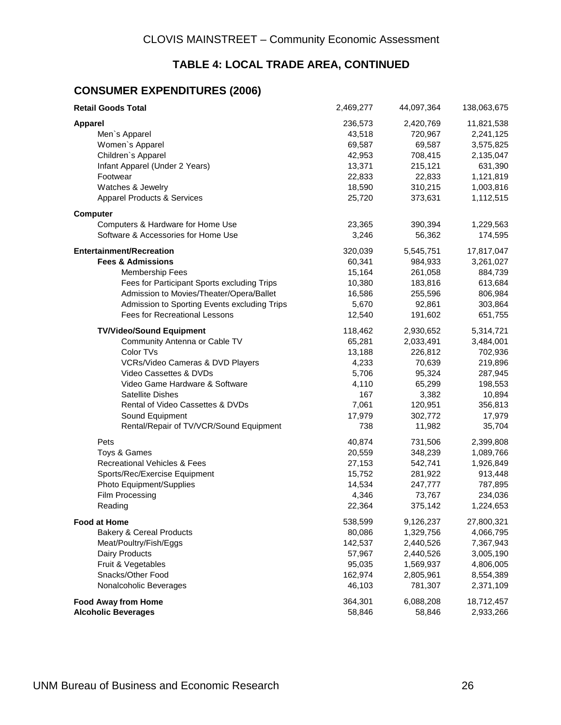#### **TABLE 4: LOCAL TRADE AREA, CONTINUED**

#### **CONSUMER EXPENDITURES (2006)**

| <b>Retail Goods Total</b>                    | 2,469,277 | 44,097,364 | 138,063,675 |
|----------------------------------------------|-----------|------------|-------------|
| <b>Apparel</b>                               | 236,573   | 2,420,769  | 11,821,538  |
| Men's Apparel                                | 43,518    | 720,967    | 2,241,125   |
| Women's Apparel                              | 69,587    | 69,587     | 3,575,825   |
| Children's Apparel                           | 42,953    | 708,415    | 2,135,047   |
| Infant Apparel (Under 2 Years)               | 13,371    | 215,121    | 631,390     |
| Footwear                                     | 22,833    | 22,833     | 1,121,819   |
| Watches & Jewelry                            | 18,590    | 310,215    | 1,003,816   |
| <b>Apparel Products &amp; Services</b>       | 25,720    | 373,631    | 1,112,515   |
| <b>Computer</b>                              |           |            |             |
| Computers & Hardware for Home Use            | 23,365    | 390,394    | 1,229,563   |
| Software & Accessories for Home Use          | 3,246     | 56,362     | 174,595     |
| <b>Entertainment/Recreation</b>              | 320,039   | 5,545,751  | 17,817,047  |
| <b>Fees &amp; Admissions</b>                 | 60,341    | 984,933    | 3,261,027   |
| <b>Membership Fees</b>                       | 15,164    | 261,058    | 884,739     |
| Fees for Participant Sports excluding Trips  | 10,380    | 183,816    | 613,684     |
| Admission to Movies/Theater/Opera/Ballet     | 16,586    | 255,596    | 806,984     |
| Admission to Sporting Events excluding Trips | 5,670     | 92,861     | 303,864     |
| Fees for Recreational Lessons                | 12,540    | 191,602    | 651,755     |
| <b>TV/Video/Sound Equipment</b>              | 118,462   | 2,930,652  | 5,314,721   |
| Community Antenna or Cable TV                | 65,281    | 2,033,491  | 3,484,001   |
| Color TVs                                    | 13,188    | 226,812    | 702,936     |
| VCRs/Video Cameras & DVD Players             | 4,233     | 70,639     | 219,896     |
| Video Cassettes & DVDs                       | 5,706     | 95,324     | 287,945     |
| Video Game Hardware & Software               | 4,110     | 65,299     | 198,553     |
| Satellite Dishes                             | 167       | 3,382      | 10,894      |
| Rental of Video Cassettes & DVDs             | 7,061     | 120,951    | 356,813     |
| Sound Equipment                              | 17,979    | 302,772    | 17,979      |
| Rental/Repair of TV/VCR/Sound Equipment      | 738       | 11,982     | 35,704      |
| Pets                                         | 40,874    | 731,506    | 2,399,808   |
| Toys & Games                                 | 20,559    | 348,239    | 1,089,766   |
| <b>Recreational Vehicles &amp; Fees</b>      | 27,153    | 542,741    | 1,926,849   |
| Sports/Rec/Exercise Equipment                | 15,752    | 281,922    | 913,448     |
| Photo Equipment/Supplies                     | 14,534    | 247,777    | 787,895     |
| Film Processing                              | 4,346     | 73,767     | 234,036     |
| Reading                                      | 22,364    | 375,142    | 1,224,653   |
| <b>Food at Home</b>                          | 538,599   | 9,126,237  | 27,800,321  |
| <b>Bakery &amp; Cereal Products</b>          | 80,086    | 1,329,756  | 4,066,795   |
| Meat/Poultry/Fish/Eggs                       | 142,537   | 2,440,526  | 7,367,943   |
| <b>Dairy Products</b>                        | 57,967    | 2,440,526  | 3,005,190   |
| Fruit & Vegetables                           | 95,035    | 1,569,937  | 4,806,005   |
| Snacks/Other Food                            | 162,974   | 2,805,961  | 8,554,389   |
| Nonalcoholic Beverages                       | 46,103    | 781,307    | 2,371,109   |
| <b>Food Away from Home</b>                   | 364,301   | 6,088,208  | 18,712,457  |
| <b>Alcoholic Beverages</b>                   | 58,846    | 58,846     | 2,933,266   |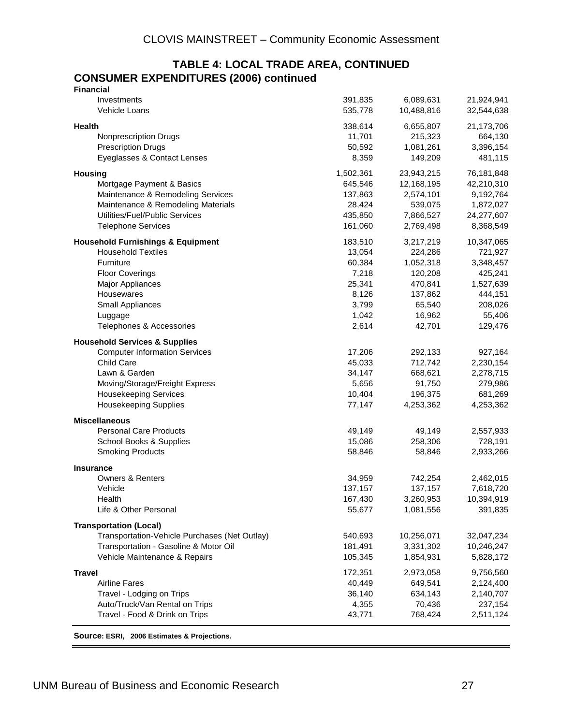#### **TABLE 4: LOCAL TRADE AREA, CONTINUED CONSUMER EXPENDITURES (2006) continued Financial**

| <u>Filiantial</u>                             |           |            |            |
|-----------------------------------------------|-----------|------------|------------|
| Investments                                   | 391,835   | 6,089,631  | 21,924,941 |
| Vehicle Loans                                 | 535,778   | 10,488,816 | 32,544,638 |
|                                               |           |            |            |
| Health                                        | 338,614   | 6,655,807  | 21,173,706 |
| <b>Nonprescription Drugs</b>                  | 11,701    | 215,323    | 664,130    |
| <b>Prescription Drugs</b>                     | 50,592    | 1,081,261  | 3,396,154  |
| Eyeglasses & Contact Lenses                   | 8,359     | 149,209    | 481,115    |
| <b>Housing</b>                                | 1,502,361 | 23,943,215 | 76,181,848 |
| Mortgage Payment & Basics                     | 645,546   | 12,168,195 | 42,210,310 |
| Maintenance & Remodeling Services             | 137,863   | 2,574,101  | 9,192,764  |
| Maintenance & Remodeling Materials            | 28,424    | 539,075    | 1,872,027  |
| Utilities/Fuel/Public Services                | 435,850   | 7,866,527  | 24,277,607 |
|                                               |           |            |            |
| <b>Telephone Services</b>                     | 161,060   | 2,769,498  | 8,368,549  |
| <b>Household Furnishings &amp; Equipment</b>  | 183,510   | 3,217,219  | 10,347,065 |
| <b>Household Textiles</b>                     | 13,054    | 224,286    | 721,927    |
| Furniture                                     | 60,384    | 1,052,318  | 3,348,457  |
| <b>Floor Coverings</b>                        | 7,218     | 120,208    | 425,241    |
| Major Appliances                              | 25,341    | 470,841    | 1,527,639  |
| Housewares                                    | 8,126     | 137,862    | 444,151    |
| Small Appliances                              | 3,799     | 65,540     | 208,026    |
| Luggage                                       | 1,042     | 16,962     | 55,406     |
| Telephones & Accessories                      | 2,614     | 42,701     | 129,476    |
|                                               |           |            |            |
| <b>Household Services &amp; Supplies</b>      |           |            |            |
| <b>Computer Information Services</b>          | 17,206    | 292,133    | 927,164    |
| <b>Child Care</b>                             | 45,033    | 712,742    | 2,230,154  |
| Lawn & Garden                                 | 34,147    | 668,621    | 2,278,715  |
| Moving/Storage/Freight Express                | 5,656     | 91,750     | 279,986    |
| <b>Housekeeping Services</b>                  | 10,404    | 196,375    | 681,269    |
| <b>Housekeeping Supplies</b>                  | 77,147    | 4,253,362  | 4,253,362  |
| <b>Miscellaneous</b>                          |           |            |            |
| <b>Personal Care Products</b>                 | 49,149    | 49,149     | 2,557,933  |
| School Books & Supplies                       | 15,086    | 258,306    | 728,191    |
| <b>Smoking Products</b>                       | 58,846    | 58,846     | 2,933,266  |
|                                               |           |            |            |
| <b>Insurance</b>                              |           |            |            |
| <b>Owners &amp; Renters</b>                   | 34,959    | 742,254    | 2,462,015  |
| Vehicle                                       | 137,157   | 137,157    | 7,618,720  |
| Health                                        | 167,430   | 3,260,953  | 10,394,919 |
| Life & Other Personal                         | 55,677    | 1,081,556  | 391,835    |
| <b>Transportation (Local)</b>                 |           |            |            |
| Transportation-Vehicle Purchases (Net Outlay) | 540,693   | 10,256,071 | 32,047,234 |
| Transportation - Gasoline & Motor Oil         | 181,491   | 3,331,302  | 10,246,247 |
| Vehicle Maintenance & Repairs                 | 105,345   | 1,854,931  | 5,828,172  |
|                                               |           |            |            |
| <b>Travel</b>                                 | 172,351   | 2,973,058  | 9,756,560  |
| <b>Airline Fares</b>                          | 40,449    | 649,541    | 2,124,400  |
| Travel - Lodging on Trips                     | 36,140    | 634,143    | 2,140,707  |
| Auto/Truck/Van Rental on Trips                | 4,355     | 70,436     | 237,154    |
| Travel - Food & Drink on Trips                | 43,771    | 768,424    | 2,511,124  |
|                                               |           |            |            |

**Source: ESRI, 2006 Estimates & Projections.**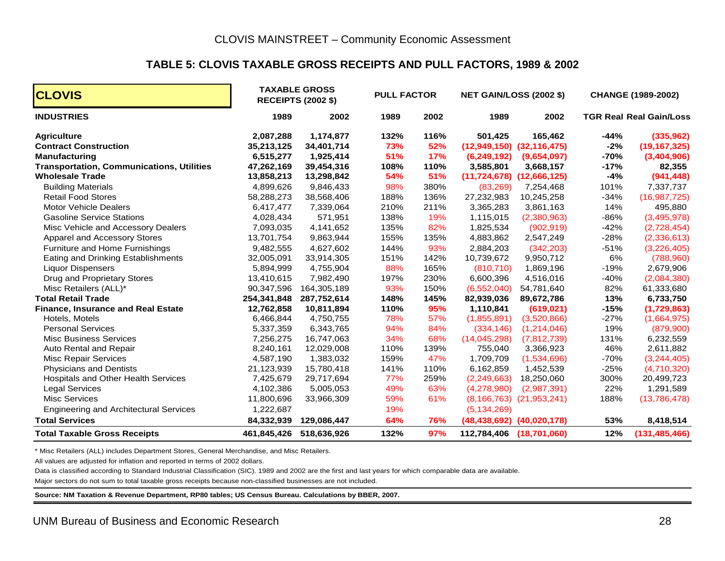#### **TABLE 5: CLOVIS TAXABLE GROSS RECEIPTS AND PULL FACTORS, 1989 & 2002**

| <b>CLOVIS</b>                                    |             | <b>TAXABLE GROSS</b><br><b>RECEIPTS (2002 \$)</b> | <b>PULL FACTOR</b> |      | <b>NET GAIN/LOSS (2002 \$)</b> |                                   | <b>CHANGE (1989-2002)</b> |                                |  |
|--------------------------------------------------|-------------|---------------------------------------------------|--------------------|------|--------------------------------|-----------------------------------|---------------------------|--------------------------------|--|
| <b>INDUSTRIES</b>                                | 1989        | 2002                                              | 1989               | 2002 | 1989                           | 2002                              |                           | <b>TGR Real Real Gain/Loss</b> |  |
| <b>Agriculture</b>                               | 2,087,288   | 1,174,877                                         | 132%               | 116% | 501,425                        | 165,462                           | $-44%$                    | (335, 962)                     |  |
| <b>Contract Construction</b>                     | 35,213,125  | 34,401,714                                        | 73%                | 52%  |                                | $(12,949,150)$ $(32,116,475)$     | $-2%$                     | (19, 167, 325)                 |  |
| <b>Manufacturing</b>                             | 6,515,277   | 1,925,414                                         | 51%                | 17%  | (6,249,192)                    | (9,654,097)                       | $-70%$                    | (3,404,906)                    |  |
| <b>Transportation, Communications, Utilities</b> | 47,262,169  | 39,454,316                                        | 108%               | 110% | 3,585,801                      | 3,668,157                         | $-17%$                    | 82,355                         |  |
| <b>Wholesale Trade</b>                           | 13,858,213  | 13,298,842                                        | 54%                | 51%  |                                | $(11, 724, 678)$ $(12, 666, 125)$ | $-4%$                     | (941, 448)                     |  |
| <b>Building Materials</b>                        | 4,899,626   | 9,846,433                                         | 98%                | 380% | (83, 269)                      | 7,254,468                         | 101%                      | 7,337,737                      |  |
| <b>Retail Food Stores</b>                        | 58,288,273  | 38,568,406                                        | 188%               | 136% | 27,232,983                     | 10,245,258                        | $-34%$                    | (16, 987, 725)                 |  |
| Motor Vehicle Dealers                            | 6,417,477   | 7,339,064                                         | 210%               | 211% | 3,365,283                      | 3,861,163                         | 14%                       | 495,880                        |  |
| <b>Gasoline Service Stations</b>                 | 4,028,434   | 571,951                                           | 138%               | 19%  | 1,115,015                      | (2,380,963)                       | $-86%$                    | (3,495,978)                    |  |
| Misc Vehicle and Accessory Dealers               | 7,093,035   | 4,141,652                                         | 135%               | 82%  | 1,825,534                      | (902, 919)                        | $-42%$                    | (2,728,454)                    |  |
| Apparel and Accessory Stores                     | 13,701,754  | 9,863,944                                         | 155%               | 135% | 4,883,862                      | 2,547,249                         | $-28%$                    | (2,336,613)                    |  |
| Furniture and Home Furnishings                   | 9,482,555   | 4,627,602                                         | 144%               | 93%  | 2,884,203                      | (342, 203)                        | $-51%$                    | (3,226,405)                    |  |
| Eating and Drinking Establishments               | 32,005,091  | 33,914,305                                        | 151%               | 142% | 10,739,672                     | 9,950,712                         | 6%                        | (788,960)                      |  |
| <b>Liquor Dispensers</b>                         | 5,894,999   | 4,755,904                                         | 88%                | 165% | (810, 710)                     | 1,869,196                         | $-19%$                    | 2,679,906                      |  |
| Drug and Proprietary Stores                      | 13,410,615  | 7,982,490                                         | 197%               | 230% | 6,600,396                      | 4,516,016                         | $-40%$                    | (2,084,380)                    |  |
| Misc Retailers (ALL)*                            | 90,347,596  | 164,305,189                                       | 93%                | 150% | (6, 552, 040)                  | 54,781,640                        | 82%                       | 61,333,680                     |  |
| <b>Total Retail Trade</b>                        | 254,341,848 | 287,752,614                                       | 148%               | 145% | 82,939,036                     | 89,672,786                        | 13%                       | 6,733,750                      |  |
| <b>Finance, Insurance and Real Estate</b>        | 12,762,858  | 10,811,894                                        | 110%               | 95%  | 1,110,841                      | (619, 021)                        | $-15%$                    | (1,729,863)                    |  |
| Hotels, Motels                                   | 6,466,844   | 4,750,755                                         | 78%                | 57%  | (1,855,891)                    | (3,520,866)                       | $-27%$                    | (1,664,975)                    |  |
| <b>Personal Services</b>                         | 5,337,359   | 6,343,765                                         | 94%                | 84%  | (334, 146)                     | (1,214,046)                       | 19%                       | (879,900)                      |  |
| <b>Misc Business Services</b>                    | 7,256,275   | 16,747,063                                        | 34%                | 68%  | (14,045,298)                   | (7,812,739)                       | 131%                      | 6,232,559                      |  |
| Auto Rental and Repair                           | 8,240,161   | 12,029,008                                        | 110%               | 139% | 755,040                        | 3,366,923                         | 46%                       | 2,611,882                      |  |
| <b>Misc Repair Services</b>                      | 4,587,190   | 1,383,032                                         | 159%               | 47%  | 1,709,709                      | (1,534,696)                       | $-70%$                    | (3,244,405)                    |  |
| <b>Physicians and Dentists</b>                   | 21,123,939  | 15,780,418                                        | 141%               | 110% | 6,162,859                      | 1,452,539                         | $-25%$                    | (4,710,320)                    |  |
| Hospitals and Other Health Services              | 7,425,679   | 29,717,694                                        | 77%                | 259% | (2, 249, 663)                  | 18,250,060                        | 300%                      | 20,499,723                     |  |
| <b>Legal Services</b>                            | 4,102,386   | 5,005,053                                         | 49%                | 63%  | (4,278,980)                    | (2,987,391)                       | 22%                       | 1,291,589                      |  |
| <b>Misc Services</b>                             | 11,800,696  | 33,966,309                                        | 59%                | 61%  |                                | $(8, 166, 763)$ $(21, 953, 241)$  | 188%                      | (13,786,478)                   |  |
| <b>Engineering and Architectural Services</b>    | 1,222,687   |                                                   | 19%                |      | (5, 134, 269)                  |                                   |                           |                                |  |
| <b>Total Services</b>                            | 84,332,939  | 129,086,447                                       | 64%                | 76%  |                                | $(48, 438, 692)$ $(40, 020, 178)$ | 53%                       | 8,418,514                      |  |
| <b>Total Taxable Gross Receipts</b>              |             | 461,845,426 518,636,926                           | 132%               | 97%  | 112,784,406                    | (18,701,060)                      | 12%                       | (131, 485, 466)                |  |

\* Misc Retailers (ALL) includes Department Stores, General Merchandise, and Misc Retailers.

All values are adjusted for inflation and reported in terms of 2002 dollars.

Data is classified according to Standard Industrial Classification (SIC). 1989 and 2002 are the first and last years for which comparable data are available.

Major sectors do not sum to total taxable gross receipts because non-classified businesses are not included.

**Source: NM Taxation & Revenue Department, RP80 tables; US Census Bureau. Calculations by BBER, 2007.**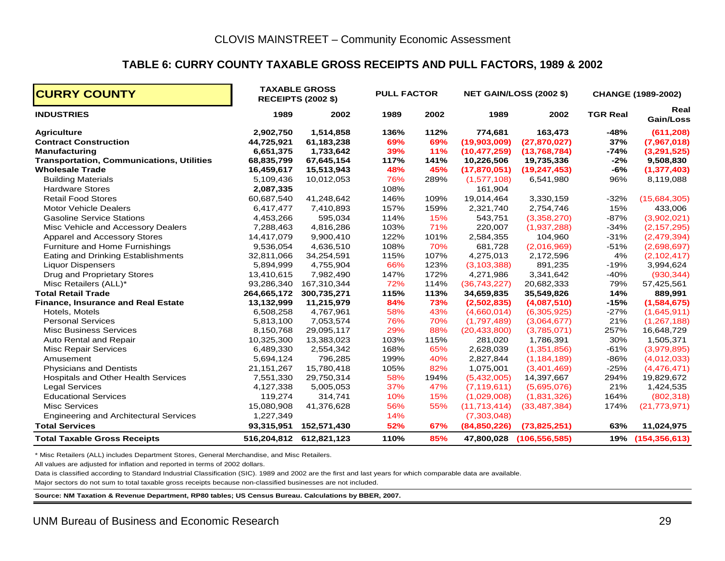#### **TABLE 6: CURRY COUNTY TAXABLE GROSS RECEIPTS AND PULL FACTORS, 1989 & 2002**

| <b>CURRY COUNTY</b>                              |              | <b>TAXABLE GROSS</b><br><b>RECEIPTS (2002 \$)</b> |      | <b>PULL FACTOR</b><br><b>NET GAIN/LOSS (2002 \$)</b> |                |                 |                 | <b>CHANGE (1989-2002)</b> |
|--------------------------------------------------|--------------|---------------------------------------------------|------|------------------------------------------------------|----------------|-----------------|-----------------|---------------------------|
| <b>INDUSTRIES</b>                                | 1989         | 2002                                              | 1989 | 2002                                                 | 1989           | 2002            | <b>TGR Real</b> | Real<br>Gain/Loss         |
| <b>Agriculture</b>                               | 2,902,750    | 1,514,858                                         | 136% | 112%                                                 | 774,681        | 163,473         | $-48%$          | (611, 208)                |
| <b>Contract Construction</b>                     | 44,725,921   | 61,183,238                                        | 69%  | 69%                                                  | (19,903,009)   | (27, 870, 027)  | 37%             | (7,967,018)               |
| <b>Manufacturing</b>                             | 6,651,375    | 1,733,642                                         | 39%  | 11%                                                  | (10, 477, 259) | (13,768,784)    | $-74%$          | (3,291,525)               |
| <b>Transportation, Communications, Utilities</b> | 68,835,799   | 67,645,154                                        | 117% | 141%                                                 | 10,226,506     | 19,735,336      | $-2%$           | 9,508,830                 |
| <b>Wholesale Trade</b>                           | 16,459,617   | 15,513,943                                        | 48%  | 45%                                                  | (17,870,051)   | (19, 247, 453)  | -6%             | (1, 377, 403)             |
| <b>Building Materials</b>                        | 5,109,436    | 10,012,053                                        | 76%  | 289%                                                 | (1,577,108)    | 6,541,980       | 96%             | 8,119,088                 |
| <b>Hardware Stores</b>                           | 2,087,335    |                                                   | 108% |                                                      | 161,904        |                 |                 |                           |
| <b>Retail Food Stores</b>                        | 60,687,540   | 41,248,642                                        | 146% | 109%                                                 | 19,014,464     | 3,330,159       | $-32%$          | (15,684,305)              |
| <b>Motor Vehicle Dealers</b>                     | 6,417,477    | 7,410,893                                         | 157% | 159%                                                 | 2,321,740      | 2,754,746       | 15%             | 433,006                   |
| <b>Gasoline Service Stations</b>                 | 4,453,266    | 595,034                                           | 114% | 15%                                                  | 543,751        | (3,358,270)     | $-87%$          | (3,902,021)               |
| Misc Vehicle and Accessory Dealers               | 7,288,463    | 4,816,286                                         | 103% | 71%                                                  | 220,007        | (1,937,288)     | $-34%$          | (2, 157, 295)             |
| Apparel and Accessory Stores                     | 14,417,079   | 9,900,410                                         | 122% | 101%                                                 | 2,584,355      | 104,960         | $-31%$          | (2,479,394)               |
| Furniture and Home Furnishings                   | 9,536,054    | 4,636,510                                         | 108% | 70%                                                  | 681,728        | (2,016,969)     | $-51%$          | (2,698,697)               |
| Eating and Drinking Establishments               | 32,811,066   | 34,254,591                                        | 115% | 107%                                                 | 4,275,013      | 2,172,596       | 4%              | (2, 102, 417)             |
| <b>Liquor Dispensers</b>                         | 5,894,999    | 4,755,904                                         | 66%  | 123%                                                 | (3, 103, 388)  | 891,235         | $-19%$          | 3,994,624                 |
| Drug and Proprietary Stores                      | 13,410,615   | 7,982,490                                         | 147% | 172%                                                 | 4,271,986      | 3,341,642       | $-40%$          | (930, 344)                |
| Misc Retailers (ALL)*                            | 93,286,340   | 167,310,344                                       | 72%  | 114%                                                 | (36,743,227)   | 20,682,333      | 79%             | 57,425,561                |
| <b>Total Retail Trade</b>                        | 264,665,172  | 300,735,271                                       | 115% | 113%                                                 | 34,659,835     | 35,549,826      | 14%             | 889,991                   |
| <b>Finance, Insurance and Real Estate</b>        | 13,132,999   | 11,215,979                                        | 84%  | 73%                                                  | (2,502,835)    | (4,087,510)     | $-15%$          | (1,584,675)               |
| Hotels, Motels                                   | 6,508,258    | 4,767,961                                         | 58%  | 43%                                                  | (4,660,014)    | (6,305,925)     | $-27%$          | (1,645,911)               |
| <b>Personal Services</b>                         | 5,813,100    | 7,053,574                                         | 76%  | 70%                                                  | (1,797,489)    | (3,064,677)     | 21%             | (1, 267, 188)             |
| <b>Misc Business Services</b>                    | 8,150,768    | 29,095,117                                        | 29%  | 88%                                                  | (20, 433, 800) | (3,785,071)     | 257%            | 16,648,729                |
| Auto Rental and Repair                           | 10,325,300   | 13,383,023                                        | 103% | 115%                                                 | 281,020        | 1,786,391       | 30%             | 1,505,371                 |
| <b>Misc Repair Services</b>                      | 6,489,330    | 2,554,342                                         | 168% | 65%                                                  | 2,628,039      | (1,351,856)     | $-61%$          | (3,979,895)               |
| Amusement                                        | 5,694,124    | 796,285                                           | 199% | 40%                                                  | 2,827,844      | (1, 184, 189)   | $-86%$          | (4,012,033)               |
| <b>Physicians and Dentists</b>                   | 21, 151, 267 | 15,780,418                                        | 105% | 82%                                                  | 1,075,001      | (3,401,469)     | $-25%$          | (4,476,471)               |
| <b>Hospitals and Other Health Services</b>       | 7,551,330    | 29,750,314                                        | 58%  | 194%                                                 | (5,432,005)    | 14,397,667      | 294%            | 19,829,672                |
| <b>Legal Services</b>                            | 4,127,338    | 5,005,053                                         | 37%  | 47%                                                  | (7, 119, 611)  | (5,695,076)     | 21%             | 1,424,535                 |
| <b>Educational Services</b>                      | 119,274      | 314,741                                           | 10%  | 15%                                                  | (1,029,008)    | (1,831,326)     | 164%            | (802, 318)                |
| <b>Misc Services</b>                             | 15,080,908   | 41,376,628                                        | 56%  | 55%                                                  | (11, 713, 414) | (33, 487, 384)  | 174%            | (21, 773, 971)            |
| <b>Engineering and Architectural Services</b>    | 1,227,349    |                                                   | 14%  |                                                      | (7,303,048)    |                 |                 |                           |
| <b>Total Services</b>                            | 93,315,951   | 152,571,430                                       | 52%  | 67%                                                  | (84,850,226)   | (73,825,251)    | 63%             | 11,024,975                |
| <b>Total Taxable Gross Receipts</b>              |              | 516,204,812 612,821,123                           | 110% | 85%                                                  | 47,800,028     | (106, 556, 585) | 19%             | (154, 356, 613)           |

\* Misc Retailers (ALL) includes Department Stores, General Merchandise, and Misc Retailers.

All values are adjusted for inflation and reported in terms of 2002 dollars.

Data is classified according to Standard Industrial Classification (SIC). 1989 and 2002 are the first and last years for which comparable data are available.

Major sectors do not sum to total taxable gross receipts because non-classified businesses are not included.

**Source: NM Taxation & Revenue Department, RP80 tables; US Census Bureau. Calculations by BBER, 2007.**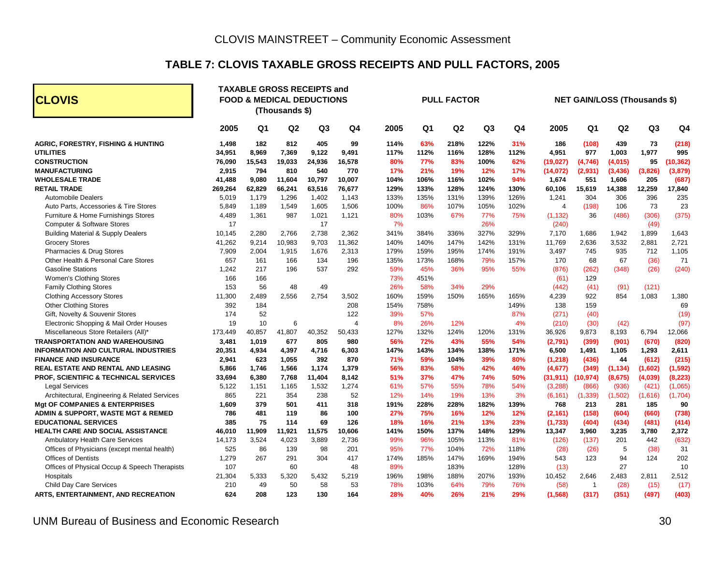## **TABLE 7: CLOVIS TAXABLE GROSS RECEIPTS AND PULL FACTORS, 2005**

| <b>CLOVIS</b>                                 |         |        | <b>TAXABLE GROSS RECEIPTS and</b><br><b>FOOD &amp; MEDICAL DEDUCTIONS</b><br>(Thousands \$) |                |        | <b>PULL FACTOR</b> |      |      |                | <b>NET GAIN/LOSS (Thousands \$)</b> |                |                |                |                |           |
|-----------------------------------------------|---------|--------|---------------------------------------------------------------------------------------------|----------------|--------|--------------------|------|------|----------------|-------------------------------------|----------------|----------------|----------------|----------------|-----------|
|                                               | 2005    | Q1     | Q <sub>2</sub>                                                                              | Q <sub>3</sub> | Q4     | 2005               | Q1   | Q2   | Q <sub>3</sub> | Q <sub>4</sub>                      | 2005           | Q <sub>1</sub> | Q <sub>2</sub> | Q <sub>3</sub> | Q4        |
| <b>AGRIC, FORESTRY, FISHING &amp; HUNTING</b> | 1.498   | 182    | 812                                                                                         | 405            | 99     | 114%               | 63%  | 218% | 122%           | 31%                                 | 186            | (108)          | 439            | 73             | (218)     |
| <b>UTILITIES</b>                              | 34,951  | 8,969  | 7,369                                                                                       | 9,122          | 9,491  | 117%               | 112% | 116% | 128%           | 112%                                | 4,951          | 977            | 1,003          | 1,977          | 995       |
| <b>CONSTRUCTION</b>                           | 76,090  | 15,543 | 19,033                                                                                      | 24,936         | 16,578 | 80%                | 77%  | 83%  | 100%           | 62%                                 | (19, 027)      | (4,746)        | (4,015)        | 95             | (10, 362) |
| <b>MANUFACTURING</b>                          | 2,915   | 794    | 810                                                                                         | 540            | 770    | 17%                | 21%  | 19%  | 12%            | 17%                                 | (14, 072)      | (2,931)        | (3, 436)       | (3,826)        | (3,879)   |
| <b>WHOLESALE TRADE</b>                        | 41,488  | 9,080  | 11,604                                                                                      | 10,797         | 10,007 | 104%               | 106% | 116% | 102%           | 94%                                 | 1,674          | 551            | 1,606          | 205            | (687)     |
| <b>RETAIL TRADE</b>                           | 269,264 | 62,829 | 66,241                                                                                      | 63,516         | 76,677 | 129%               | 133% | 128% | 124%           | 130%                                | 60,106         | 15,619         | 14,388         | 12,259         | 17,840    |
| <b>Automobile Dealers</b>                     | 5,019   | 1,179  | 1,296                                                                                       | 1,402          | 1,143  | 133%               | 135% | 131% | 139%           | 126%                                | 1,241          | 304            | 306            | 396            | 235       |
| Auto Parts, Accessories & Tire Stores         | 5,849   | 1,189  | 1,549                                                                                       | 1,605          | 1,506  | 100%               | 86%  | 107% | 105%           | 102%                                | $\overline{4}$ | (198)          | 106            | 73             | 23        |
| Furniture & Home Furnishings Stores           | 4,489   | 1,361  | 987                                                                                         | 1,021          | 1,121  | 80%                | 103% | 67%  | 77%            | 75%                                 | (1, 132)       | 36             | (486)          | (306)          | (375)     |
| <b>Computer &amp; Software Stores</b>         | 17      |        |                                                                                             | 17             |        | 7%                 |      |      | 26%            |                                     | (240)          |                |                | (49)           |           |
| <b>Building Material &amp; Supply Dealers</b> | 10,145  | 2,280  | 2,766                                                                                       | 2,738          | 2,362  | 341%               | 384% | 336% | 327%           | 329%                                | 7,170          | 1,686          | 1,942          | 1,899          | 1,643     |
| <b>Grocery Stores</b>                         | 41,262  | 9,214  | 10,983                                                                                      | 9,703          | 11,362 | 140%               | 140% | 147% | 142%           | 131%                                | 11,769         | 2,636          | 3,532          | 2,881          | 2,721     |
| Pharmacies & Drug Stores                      | 7,909   | 2,004  | 1,915                                                                                       | 1,676          | 2,313  | 179%               | 159% | 195% | 174%           | 191%                                | 3,497          | 745            | 935            | 712            | 1,105     |
| Other Health & Personal Care Stores           | 657     | 161    | 166                                                                                         | 134            | 196    | 135%               | 173% | 168% | 79%            | 157%                                | 170            | 68             | 67             | (36)           | 71        |
| <b>Gasoline Stations</b>                      | 1,242   | 217    | 196                                                                                         | 537            | 292    | 59%                | 45%  | 36%  | 95%            | 55%                                 | (876)          | (262)          | (348)          | (26)           | (240)     |
| Women's Clothing Stores                       | 166     | 166    |                                                                                             |                |        | 73%                | 451% |      |                |                                     | (61)           | 129            |                |                |           |
| <b>Family Clothing Stores</b>                 | 153     | 56     | 48                                                                                          | 49             |        | 26%                | 58%  | 34%  | 29%            |                                     | (442)          | (41)           | (91)           | (121)          |           |
| <b>Clothing Accessory Stores</b>              | 11,300  | 2,489  | 2.556                                                                                       | 2,754          | 3,502  | 160%               | 159% | 150% | 165%           | 165%                                | 4,239          | 922            | 854            | 1,083          | 1,380     |
| <b>Other Clothing Stores</b>                  | 392     | 184    |                                                                                             |                | 208    | 154%               | 758% |      |                | 149%                                | 138            | 159            |                |                | 69        |
| Gift, Novelty & Souvenir Stores               | 174     | 52     |                                                                                             |                | 122    | 39%                | 57%  |      |                | 87%                                 | (271)          | (40)           |                |                | (19)      |
| Electronic Shopping & Mail Order Houses       | 19      | 10     | 6                                                                                           |                | 4      | 8%                 | 26%  | 12%  |                | 4%                                  | (210)          | (30)           | (42)           |                | (97)      |
| Miscellaneous Store Retailers (All)'          | 173,449 | 40,857 | 41,807                                                                                      | 40,352         | 50,433 | 127%               | 132% | 124% | 120%           | 131%                                | 36,926         | 9,873          | 8,193          | 6,794          | 12,066    |
| <b>TRANSPORTATION AND WAREHOUSING</b>         | 3,481   | 1,019  | 677                                                                                         | 805            | 980    | 56%                | 72%  | 43%  | 55%            | 54%                                 | (2,791)        | (399)          | (901)          | (670)          | (820)     |
| <b>INFORMATION AND CULTURAL INDUSTRIES</b>    | 20,351  | 4,934  | 4,397                                                                                       | 4,716          | 6,303  | 147%               | 143% | 134% | 138%           | 171%                                | 6,500          | 1,491          | 1,105          | 1,293          | 2,611     |
| <b>FINANCE AND INSURANCE</b>                  | 2,941   | 623    | 1,055                                                                                       | 392            | 870    | 71%                | 59%  | 104% | 39%            | 80%                                 | (1, 218)       | (436)          | 44             | (612)          | (215)     |
| REAL ESTATE AND RENTAL AND LEASING            | 5,866   | 1,746  | 1,566                                                                                       | 1,174          | 1,379  | 56%                | 83%  | 58%  | 42%            | 46%                                 | (4,677)        | (349)          | (1, 134)       | (1,602)        | (1, 592)  |
| PROF, SCIENTIFIC & TECHNICAL SERVICES         | 33,694  | 6,380  | 7,768                                                                                       | 11,404         | 8,142  | 51%                | 37%  | 47%  | 74%            | 50%                                 | (31,911)       | (10, 974)      | (8,675)        | (4,039)        | (8, 223)  |
| <b>Legal Services</b>                         | 5,122   | 1,151  | 1,165                                                                                       | 1,532          | 1,274  | 61%                | 57%  | 55%  | 78%            | 54%                                 | (3,288)        | (866)          | (936)          | (421)          | (1,065)   |
| Architectural, Engineering & Related Services | 865     | 221    | 354                                                                                         | 238            | 52     | 12%                | 14%  | 19%  | 13%            | 3%                                  | (6, 161)       | (1, 339)       | (1,502)        | (1,616)        | (1,704)   |
| <b>Mgt OF COMPANIES &amp; ENTERPRISES</b>     | 1,609   | 379    | 501                                                                                         | 411            | 318    | 191%               | 228% | 228% | 182%           | 139%                                | 768            | 213            | 281            | 185            | 90        |
| ADMIN & SUPPORT, WASTE MGT & REMED            | 786     | 481    | 119                                                                                         | 86             | 100    | 27%                | 75%  | 16%  | 12%            | 12%                                 | (2, 161)       | (158)          | (604)          | (660)          | (738)     |
| <b>EDUCATIONAL SERVICES</b>                   | 385     | 75     | 114                                                                                         | 69             | 126    | 18%                | 16%  | 21%  | 13%            | 23%                                 | (1,733)        | (404)          | (434)          | (481)          | (414)     |
| <b>HEALTH CARE AND SOCIAL ASSISTANCE</b>      | 46,010  | 11,909 | 11.921                                                                                      | 11,575         | 10,606 | 141%               | 150% | 137% | 148%           | 129%                                | 13,347         | 3,960          | 3,235          | 3,780          | 2,372     |
| <b>Ambulatory Health Care Services</b>        | 14,173  | 3,524  | 4,023                                                                                       | 3,889          | 2,736  | 99%                | 96%  | 105% | 113%           | 81%                                 | (126)          | (137)          | 201            | 442            | (632)     |
| Offices of Physicians (except mental health)  | 525     | 86     | 139                                                                                         | 98             | 201    | 95%                | 77%  | 104% | 72%            | 118%                                | (28)           | (26)           | 5              | (38)           | 31        |
| <b>Offices of Dentists</b>                    | 1,279   | 267    | 291                                                                                         | 304            | 417    | 174%               | 185% | 147% | 169%           | 194%                                | 543            | 123            | 94             | 124            | 202       |
| Offices of Physical Occup & Speech Therapists | 107     |        | 60                                                                                          |                | 48     | 89%                |      | 183% |                | 128%                                | (13)           |                | 27             |                | 10        |
| Hospitals                                     | 21,304  | 5,333  | 5,320                                                                                       | 5,432          | 5,219  | 196%               | 198% | 188% | 207%           | 193%                                | 10,452         | 2,646          | 2,483          | 2,811          | 2,512     |
| <b>Child Day Care Services</b>                | 210     | 49     | 50                                                                                          | 58             | 53     | 78%                | 103% | 64%  | 79%            | 76%                                 | (58)           | -1             | (28)           | (15)           | (17)      |
| ARTS, ENTERTAINMENT, AND RECREATION           | 624     | 208    | 123                                                                                         | 130            | 164    | 28%                | 40%  | 26%  | 21%            | 29%                                 | (1, 568)       | (317)          | (351)          | (497)          | (403)     |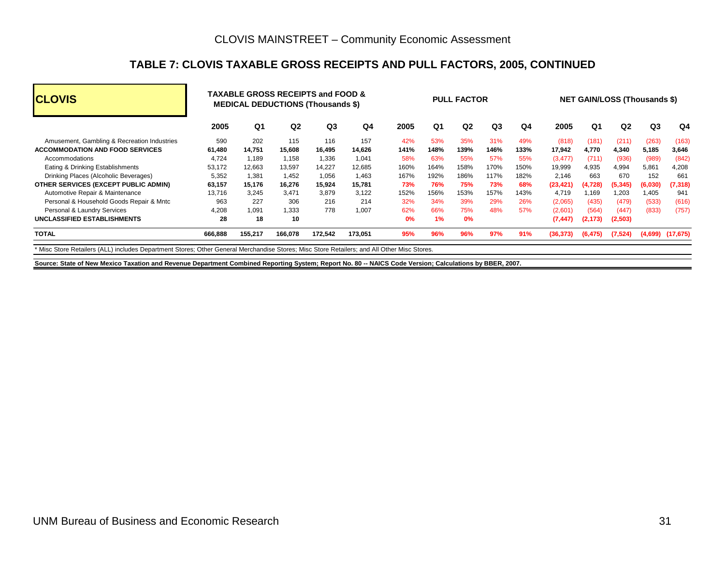#### **TABLE 7: CLOVIS TAXABLE GROSS RECEIPTS AND PULL FACTORS, 2005, CONTINUED**

| <b>CLOVIS</b>                                                                                                                               | <b>TAXABLE GROSS RECEIPTS and FOOD &amp;</b><br><b>MEDICAL DEDUCTIONS (Thousands \$)</b> |         |                |                | <b>PULL FACTOR</b> |      |                |                | <b>NET GAIN/LOSS (Thousands \$)</b> |      |           |          |                |                |           |
|---------------------------------------------------------------------------------------------------------------------------------------------|------------------------------------------------------------------------------------------|---------|----------------|----------------|--------------------|------|----------------|----------------|-------------------------------------|------|-----------|----------|----------------|----------------|-----------|
|                                                                                                                                             | 2005                                                                                     | Q1      | Q <sub>2</sub> | Q <sub>3</sub> | Q4                 | 2005 | Q <sub>1</sub> | Q <sub>2</sub> | Q <sub>3</sub>                      | Q4   | 2005      | Q1       | Q <sub>2</sub> | Q <sub>3</sub> | Q4        |
| Amusement, Gambling & Recreation Industries                                                                                                 | 590                                                                                      | 202     | 115            | 116            | 157                | 42%  | 53%            | 35%            | 31%                                 | 49%  | (818)     | (181)    | (211)          | (263)          | (163)     |
| <b>ACCOMMODATION AND FOOD SERVICES</b>                                                                                                      | 61.480                                                                                   | 14.751  | 15.608         | 16,495         | 14.626             | 141% | 148%           | 139%           | 146%                                | 133% | 17,942    | 4.770    | 4.340          | 5,185          | 3.646     |
| Accommodations                                                                                                                              | 4,724                                                                                    | 1.189   | 1.158          | 1,336          | 1.041              | 58%  | 63%            | 55%            | 57%                                 | 55%  | (3, 477)  | (711)    | (936)          | (989)          | (842)     |
| Eating & Drinking Establishments                                                                                                            | 53.172                                                                                   | 12,663  | 13,597         | 14.227         | 12.685             | 160% | 164%           | 158%           | 170%                                | 150% | 19,999    | 4.935    | 4.994          | 5,861          | 4,208     |
| Drinking Places (Alcoholic Beverages)                                                                                                       | 5,352                                                                                    | 1.381   | 1,452          | 1.056          | 1.463              | 167% | 192%           | 186%           | 117%                                | 182% | 2.146     | 663      | 670            | 152            | 661       |
| OTHER SERVICES (EXCEPT PUBLIC ADMIN)                                                                                                        | 63,157                                                                                   | 15,176  | 16,276         | 15,924         | 15.781             | 73%  | 76%            | <b>75%</b>     | 73%                                 | 68%  | (23, 421) | (4,728)  | (5, 345)       | (6,030)        | (7, 318)  |
| Automotive Repair & Maintenance                                                                                                             | 13.716                                                                                   | 3.245   | 3.471          | 3.879          | 3.122              | 152% | 156%           | 153%           | 157%                                | 143% | 4.719     | l.169    | 1.203          | 1,405          | 941       |
| Personal & Household Goods Repair & Mntc                                                                                                    | 963                                                                                      | 227     | 306            | 216            | 214                | 32%  | 34%            | 39%            | 29%                                 | 26%  | (2,065)   | (435)    | (479)          | (533)          | (616)     |
| Personal & Laundry Services                                                                                                                 | 4,208                                                                                    | 1.091   | 1.333          | 778            | 1.007              | 62%  | 66%            | 75%            | 48%                                 | 57%  | (2,601)   | (564)    | (447)          | (833)          | (757)     |
| UNCLASSIFIED ESTABLISHMENTS                                                                                                                 | 28                                                                                       | 18      | 10             |                |                    | 0%   | 1%             | 0%             |                                     |      | (7, 447)  | (2, 173) | (2,503)        |                |           |
| <b>TOTAL</b>                                                                                                                                | 666,888                                                                                  | 155,217 | 166,078        | 172,542        | 173,051            | 95%  | 96%            | 96%            | 97%                                 | 91%  | (36, 373) | (6, 475) | (7, 524)       | (4,699)        | (17, 675) |
| * Misc Store Retailers (ALL) includes Department Stores; Other General Merchandise Stores; Misc Store Retailers; and All Other Misc Stores. |                                                                                          |         |                |                |                    |      |                |                |                                     |      |           |          |                |                |           |

**Source: State of New Mexico Taxation and Revenue Department Combined Reporting System; Report No. 80 -- NAICS Code Version; Calculations by BBER, 2007.**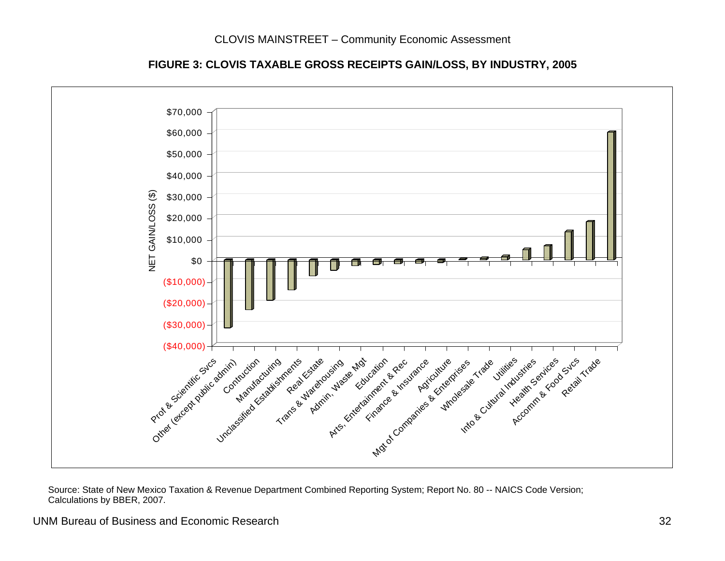

#### **FIGURE 3: CLOVIS TAXABLE GROSS RECEIPTS GAIN/LOSS, BY INDUSTRY, 2005**

 Source: State of New Mexico Taxation & Revenue Department Combined Reporting System; Report No. 80 -- NAICS Code Version; Calculations by BBER, 2007.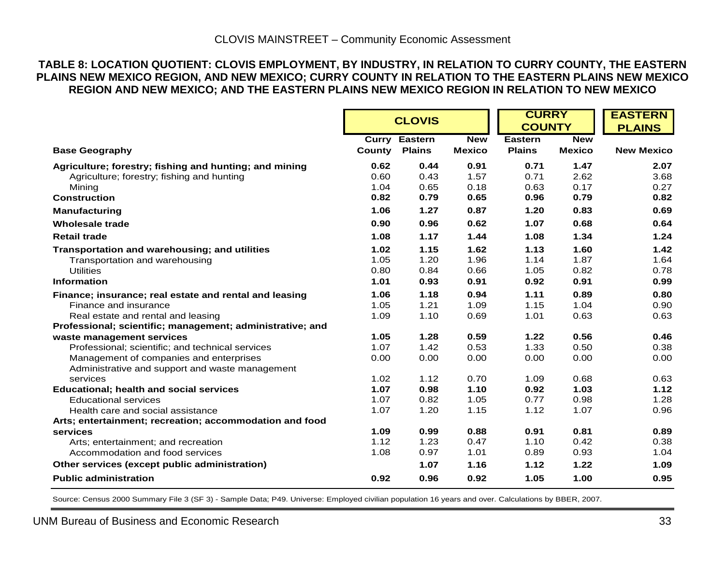#### **TABLE 8: LOCATION QUOTIENT: CLOVIS EMPLOYMENT, BY INDUSTRY, IN RELATION TO CURRY COUNTY, THE EASTERN PLAINS NEW MEXICO REGION, AND NEW MEXICO; CURRY COUNTY IN RELATION TO THE EASTERN PLAINS NEW MEXICO REGION AND NEW MEXICO; AND THE EASTERN PLAINS NEW MEXICO REGION IN RELATION TO NEW MEXICO**

|                                                           |        | <b>CLOVIS</b>        |               | <b>CURRY</b><br><b>COUNTY</b> |               | <b>EASTERN</b><br><b>PLAINS</b> |
|-----------------------------------------------------------|--------|----------------------|---------------|-------------------------------|---------------|---------------------------------|
|                                                           |        | <b>Curry Eastern</b> | <b>New</b>    | Eastern                       | <b>New</b>    |                                 |
| <b>Base Geography</b>                                     | County | <b>Plains</b>        | <b>Mexico</b> | <b>Plains</b>                 | <b>Mexico</b> | <b>New Mexico</b>               |
| Agriculture; forestry; fishing and hunting; and mining    | 0.62   | 0.44                 | 0.91          | 0.71                          | 1.47          | 2.07                            |
| Agriculture; forestry; fishing and hunting                | 0.60   | 0.43                 | 1.57          | 0.71                          | 2.62          | 3.68                            |
| Mining                                                    | 1.04   | 0.65                 | 0.18          | 0.63                          | 0.17          | 0.27                            |
| <b>Construction</b>                                       | 0.82   | 0.79                 | 0.65          | 0.96                          | 0.79          | 0.82                            |
| <b>Manufacturing</b>                                      | 1.06   | 1.27                 | 0.87          | 1.20                          | 0.83          | 0.69                            |
| <b>Wholesale trade</b>                                    | 0.90   | 0.96                 | 0.62          | 1.07                          | 0.68          | 0.64                            |
| <b>Retail trade</b>                                       | 1.08   | 1.17                 | 1.44          | 1.08                          | 1.34          | 1.24                            |
| Transportation and warehousing; and utilities             | 1.02   | 1.15                 | 1.62          | 1.13                          | 1.60          | 1.42                            |
| Transportation and warehousing                            | 1.05   | 1.20                 | 1.96          | 1.14                          | 1.87          | 1.64                            |
| <b>Utilities</b>                                          | 0.80   | 0.84                 | 0.66          | 1.05                          | 0.82          | 0.78                            |
| <b>Information</b>                                        | 1.01   | 0.93                 | 0.91          | 0.92                          | 0.91          | 0.99                            |
| Finance; insurance; real estate and rental and leasing    | 1.06   | 1.18                 | 0.94          | 1.11                          | 0.89          | 0.80                            |
| Finance and insurance                                     | 1.05   | 1.21                 | 1.09          | 1.15                          | 1.04          | 0.90                            |
| Real estate and rental and leasing                        | 1.09   | 1.10                 | 0.69          | 1.01                          | 0.63          | 0.63                            |
| Professional; scientific; management; administrative; and |        |                      |               |                               |               |                                 |
| waste management services                                 | 1.05   | 1.28                 | 0.59          | 1.22                          | 0.56          | 0.46                            |
| Professional; scientific; and technical services          | 1.07   | 1.42                 | 0.53          | 1.33                          | 0.50          | 0.38                            |
| Management of companies and enterprises                   | 0.00   | 0.00                 | 0.00          | 0.00                          | 0.00          | 0.00                            |
| Administrative and support and waste management           |        |                      |               |                               |               |                                 |
| services                                                  | 1.02   | 1.12                 | 0.70          | 1.09                          | 0.68          | 0.63                            |
| <b>Educational; health and social services</b>            | 1.07   | 0.98                 | 1.10          | 0.92                          | 1.03          | 1.12                            |
| <b>Educational services</b>                               | 1.07   | 0.82                 | 1.05          | 0.77                          | 0.98          | 1.28                            |
| Health care and social assistance                         | 1.07   | 1.20                 | 1.15          | 1.12                          | 1.07          | 0.96                            |
| Arts; entertainment; recreation; accommodation and food   |        |                      |               |                               |               |                                 |
| services                                                  | 1.09   | 0.99                 | 0.88          | 0.91                          | 0.81          | 0.89                            |
| Arts; entertainment; and recreation                       | 1.12   | 1.23                 | 0.47          | 1.10                          | 0.42          | 0.38                            |
| Accommodation and food services                           | 1.08   | 0.97                 | 1.01          | 0.89                          | 0.93          | 1.04                            |
| Other services (except public administration)             |        | 1.07                 | 1.16          | 1.12                          | 1.22          | 1.09                            |
| <b>Public administration</b>                              | 0.92   | 0.96                 | 0.92          | 1.05                          | 1.00          | 0.95                            |

Source: Census 2000 Summary File 3 (SF 3) - Sample Data; P49. Universe: Employed civilian population 16 years and over. Calculations by BBER, 2007.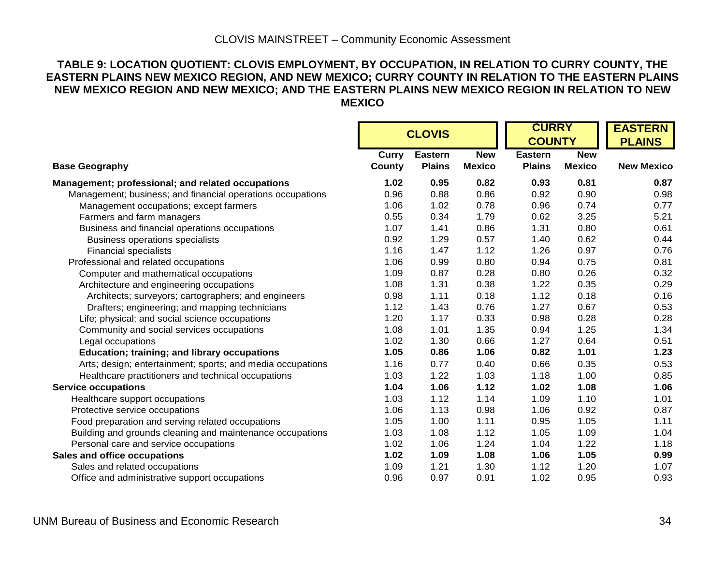#### **TABLE 9: LOCATION QUOTIENT: CLOVIS EMPLOYMENT, BY OCCUPATION, IN RELATION TO CURRY COUNTY, THE EASTERN PLAINS NEW MEXICO REGION, AND NEW MEXICO; CURRY COUNTY IN RELATION TO THE EASTERN PLAINS NEW MEXICO REGION AND NEW MEXICO; AND THE EASTERN PLAINS NEW MEXICO REGION IN RELATION TO NEW MEXICO**

|                                                            |        |                |               |                | <b>CURRY</b>  | <b>EASTERN</b>    |
|------------------------------------------------------------|--------|----------------|---------------|----------------|---------------|-------------------|
|                                                            |        | <b>CLOVIS</b>  |               |                | <b>COUNTY</b> | <b>PLAINS</b>     |
|                                                            | Curry  | <b>Eastern</b> | <b>New</b>    | <b>Eastern</b> | <b>New</b>    |                   |
| <b>Base Geography</b>                                      | County | <b>Plains</b>  | <b>Mexico</b> | <b>Plains</b>  | <b>Mexico</b> | <b>New Mexico</b> |
| Management; professional; and related occupations          | 1.02   | 0.95           | 0.82          | 0.93           | 0.81          | 0.87              |
| Management; business; and financial operations occupations | 0.96   | 0.88           | 0.86          | 0.92           | 0.90          | 0.98              |
| Management occupations; except farmers                     | 1.06   | 1.02           | 0.78          | 0.96           | 0.74          | 0.77              |
| Farmers and farm managers                                  | 0.55   | 0.34           | 1.79          | 0.62           | 3.25          | 5.21              |
| Business and financial operations occupations              | 1.07   | 1.41           | 0.86          | 1.31           | 0.80          | 0.61              |
| Business operations specialists                            | 0.92   | 1.29           | 0.57          | 1.40           | 0.62          | 0.44              |
| <b>Financial specialists</b>                               | 1.16   | 1.47           | 1.12          | 1.26           | 0.97          | 0.76              |
| Professional and related occupations                       | 1.06   | 0.99           | 0.80          | 0.94           | 0.75          | 0.81              |
| Computer and mathematical occupations                      | 1.09   | 0.87           | 0.28          | 0.80           | 0.26          | 0.32              |
| Architecture and engineering occupations                   | 1.08   | 1.31           | 0.38          | 1.22           | 0.35          | 0.29              |
| Architects; surveyors; cartographers; and engineers        | 0.98   | 1.11           | 0.18          | 1.12           | 0.18          | 0.16              |
| Drafters; engineering; and mapping technicians             | 1.12   | 1.43           | 0.76          | 1.27           | 0.67          | 0.53              |
| Life; physical; and social science occupations             | 1.20   | 1.17           | 0.33          | 0.98           | 0.28          | 0.28              |
| Community and social services occupations                  | 1.08   | 1.01           | 1.35          | 0.94           | 1.25          | 1.34              |
| Legal occupations                                          | 1.02   | 1.30           | 0.66          | 1.27           | 0.64          | 0.51              |
| <b>Education; training; and library occupations</b>        | 1.05   | 0.86           | 1.06          | 0.82           | 1.01          | 1.23              |
| Arts; design; entertainment; sports; and media occupations | 1.16   | 0.77           | 0.40          | 0.66           | 0.35          | 0.53              |
| Healthcare practitioners and technical occupations         | 1.03   | 1.22           | 1.03          | 1.18           | 1.00          | 0.85              |
| <b>Service occupations</b>                                 | 1.04   | 1.06           | 1.12          | 1.02           | 1.08          | 1.06              |
| Healthcare support occupations                             | 1.03   | 1.12           | 1.14          | 1.09           | 1.10          | 1.01              |
| Protective service occupations                             | 1.06   | 1.13           | 0.98          | 1.06           | 0.92          | 0.87              |
| Food preparation and serving related occupations           | 1.05   | 1.00           | 1.11          | 0.95           | 1.05          | 1.11              |
| Building and grounds cleaning and maintenance occupations  | 1.03   | 1.08           | 1.12          | 1.05           | 1.09          | 1.04              |
| Personal care and service occupations                      | 1.02   | 1.06           | 1.24          | 1.04           | 1.22          | 1.18              |
| Sales and office occupations                               | 1.02   | 1.09           | 1.08          | 1.06           | 1.05          | 0.99              |
| Sales and related occupations                              | 1.09   | 1.21           | 1.30          | 1.12           | 1.20          | 1.07              |
| Office and administrative support occupations              | 0.96   | 0.97           | 0.91          | 1.02           | 0.95          | 0.93              |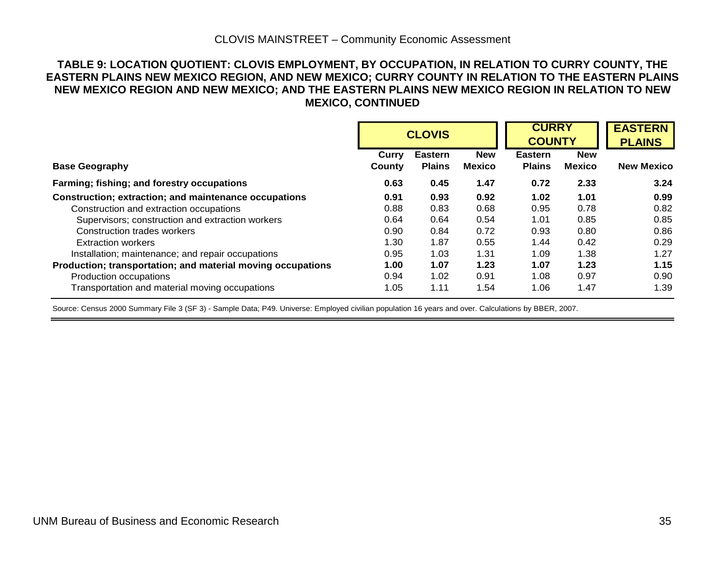#### **TABLE 9: LOCATION QUOTIENT: CLOVIS EMPLOYMENT, BY OCCUPATION, IN RELATION TO CURRY COUNTY, THE EASTERN PLAINS NEW MEXICO REGION, AND NEW MEXICO; CURRY COUNTY IN RELATION TO THE EASTERN PLAINS NEW MEXICO REGION AND NEW MEXICO; AND THE EASTERN PLAINS NEW MEXICO REGION IN RELATION TO NEW MEXICO, CONTINUED**

|                                                             |                        | <b>CLOVIS</b>                   |                             |                                 | <b>CURRY</b><br><b>COUNTY</b> | <b>EASTERN</b><br><b>PLAINS</b> |
|-------------------------------------------------------------|------------------------|---------------------------------|-----------------------------|---------------------------------|-------------------------------|---------------------------------|
| <b>Base Geography</b>                                       | <b>Curry</b><br>County | <b>Eastern</b><br><b>Plains</b> | <b>New</b><br><b>Mexico</b> | <b>Eastern</b><br><b>Plains</b> | <b>New</b><br><b>Mexico</b>   | <b>New Mexico</b>               |
|                                                             |                        |                                 |                             |                                 |                               |                                 |
| Farming; fishing; and forestry occupations                  | 0.63                   | 0.45                            | 1.47                        | 0.72                            | 2.33                          | 3.24                            |
| Construction; extraction; and maintenance occupations       | 0.91                   | 0.93                            | 0.92                        | 1.02                            | 1.01                          | 0.99                            |
| Construction and extraction occupations                     | 0.88                   | 0.83                            | 0.68                        | 0.95                            | 0.78                          | 0.82                            |
| Supervisors; construction and extraction workers            | 0.64                   | 0.64                            | 0.54                        | 1.01                            | 0.85                          | 0.85                            |
| <b>Construction trades workers</b>                          | 0.90                   | 0.84                            | 0.72                        | 0.93                            | 0.80                          | 0.86                            |
| <b>Extraction workers</b>                                   | 1.30                   | 1.87                            | 0.55                        | 1.44                            | 0.42                          | 0.29                            |
| Installation; maintenance; and repair occupations           | 0.95                   | 1.03                            | 1.31                        | 1.09                            | 1.38                          | 1.27                            |
| Production; transportation; and material moving occupations | 1.00                   | 1.07                            | 1.23                        | 1.07                            | 1.23                          | 1.15                            |
| Production occupations                                      | 0.94                   | 1.02                            | 0.91                        | 1.08                            | 0.97                          | 0.90                            |
| Transportation and material moving occupations              | 1.05                   | 1.11                            | 1.54                        | 1.06                            | 1.47                          | 1.39                            |

Source: Census 2000 Summary File 3 (SF 3) - Sample Data; P49. Universe: Employed civilian population 16 years and over. Calculations by BBER, 2007.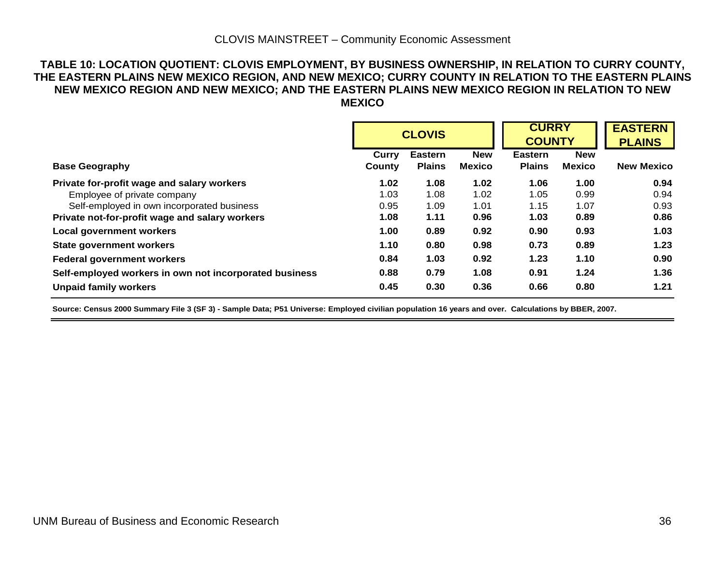#### **TABLE 10: LOCATION QUOTIENT: CLOVIS EMPLOYMENT, BY BUSINESS OWNERSHIP, IN RELATION TO CURRY COUNTY, THE EASTERN PLAINS NEW MEXICO REGION, AND NEW MEXICO; CURRY COUNTY IN RELATION TO THE EASTERN PLAINS NEW MEXICO REGION AND NEW MEXICO; AND THE EASTERN PLAINS NEW MEXICO REGION IN RELATION TO NEW MEXICO**

|                                                        |                 | <b>CLOVIS</b>                   |                             | <b>CURRY</b><br><b>COUNTY</b>   |                             | <b>EASTERN</b><br><b>PLAINS</b> |
|--------------------------------------------------------|-----------------|---------------------------------|-----------------------------|---------------------------------|-----------------------------|---------------------------------|
| <b>Base Geography</b>                                  | Curry<br>County | <b>Eastern</b><br><b>Plains</b> | <b>New</b><br><b>Mexico</b> | <b>Eastern</b><br><b>Plains</b> | <b>New</b><br><b>Mexico</b> | <b>New Mexico</b>               |
| Private for-profit wage and salary workers             | 1.02            | 1.08                            | 1.02                        | 1.06                            | 1.00                        | 0.94                            |
| Employee of private company                            | 1.03            | 1.08                            | 1.02                        | 1.05                            | 0.99                        | 0.94                            |
| Self-employed in own incorporated business             | 0.95            | 1.09                            | 1.01                        | 1.15                            | 1.07                        | 0.93                            |
| Private not-for-profit wage and salary workers         | 1.08            | 1.11                            | 0.96                        | 1.03                            | 0.89                        | 0.86                            |
| <b>Local government workers</b>                        | 1.00            | 0.89                            | 0.92                        | 0.90                            | 0.93                        | 1.03                            |
| <b>State government workers</b>                        | 1.10            | 0.80                            | 0.98                        | 0.73                            | 0.89                        | 1.23                            |
| <b>Federal government workers</b>                      | 0.84            | 1.03                            | 0.92                        | 1.23                            | 1.10                        | 0.90                            |
| Self-employed workers in own not incorporated business | 0.88            | 0.79                            | 1.08                        | 0.91                            | 1.24                        | 1.36                            |
| <b>Unpaid family workers</b>                           | 0.45            | 0.30                            | 0.36                        | 0.66                            | 0.80                        | 1.21                            |

**Source: Census 2000 Summary File 3 (SF 3) - Sample Data; P51 Universe: Employed civilian population 16 years and over. Calculations by BBER, 2007.**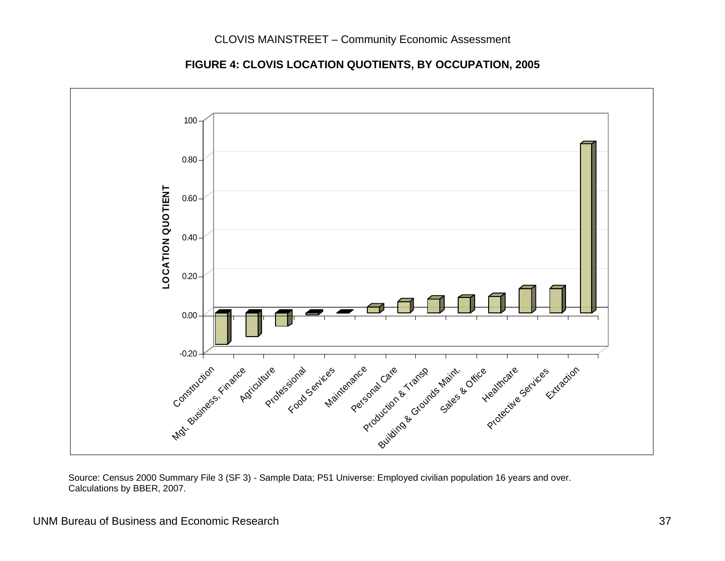**FIGURE 4: CLOVIS LOCATION QUOTIENTS, BY OCCUPATION, 2005** 



 Source: Census 2000 Summary File 3 (SF 3) - Sample Data; P51 Universe: Employed civilian population 16 years and over. Calculations by BBER, 2007.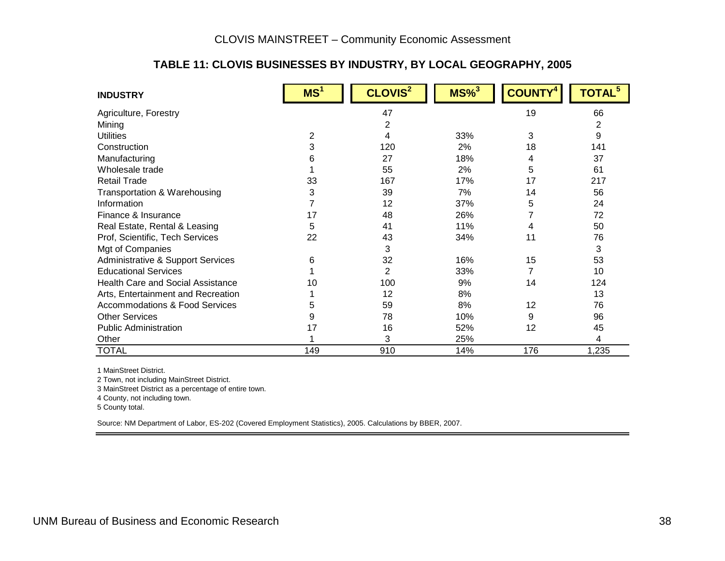#### **TABLE 11: CLOVIS BUSINESSES BY INDUSTRY, BY LOCAL GEOGRAPHY, 2005**

| <b>INDUSTRY</b>                          | MS <sup>1</sup> | CLOVIS <sup>2</sup> | $MS\%$ <sup>3</sup> | <b>COUNTY</b> | TOTAL <sup>5</sup> |
|------------------------------------------|-----------------|---------------------|---------------------|---------------|--------------------|
| Agriculture, Forestry                    |                 | 47                  |                     | 19            | 66                 |
| Mining                                   |                 | 2                   |                     |               | $\overline{2}$     |
| <b>Utilities</b>                         | 2               | 4                   | 33%                 | 3             | 9                  |
| Construction                             | 3               | 120                 | 2%                  | 18            | 141                |
| Manufacturing                            | 6               | 27                  | 18%                 | 4             | 37                 |
| Wholesale trade                          |                 | 55                  | 2%                  | 5             | 61                 |
| <b>Retail Trade</b>                      | 33              | 167                 | 17%                 | 17            | 217                |
| Transportation & Warehousing             | 3               | 39                  | 7%                  | 14            | 56                 |
| Information                              | 7               | 12                  | 37%                 | 5             | 24                 |
| Finance & Insurance                      | 17              | 48                  | 26%                 |               | 72                 |
| Real Estate, Rental & Leasing            | 5               | 41                  | 11%                 | 4             | 50                 |
| Prof, Scientific, Tech Services          | 22              | 43                  | 34%                 | 11            | 76                 |
| Mgt of Companies                         |                 | 3                   |                     |               | 3                  |
| Administrative & Support Services        | 6               | 32                  | 16%                 | 15            | 53                 |
| <b>Educational Services</b>              |                 | 2                   | 33%                 |               | 10                 |
| <b>Health Care and Social Assistance</b> | 10              | 100                 | 9%                  | 14            | 124                |
| Arts, Entertainment and Recreation       |                 | 12                  | 8%                  |               | 13                 |
| Accommodations & Food Services           | 5               | 59                  | 8%                  | 12            | 76                 |
| <b>Other Services</b>                    | 9               | 78                  | 10%                 | 9             | 96                 |
| <b>Public Administration</b>             | 17              | 16                  | 52%                 | 12            | 45                 |
| Other                                    |                 | 3                   | 25%                 |               | 4                  |
| <b>TOTAL</b>                             | 149             | 910                 | 14%                 | 176           | 1,235              |

1 MainStreet District.

2 Town, not including MainStreet District.

3 MainStreet District as a percentage of entire town.

4 County, not including town.

5 County total.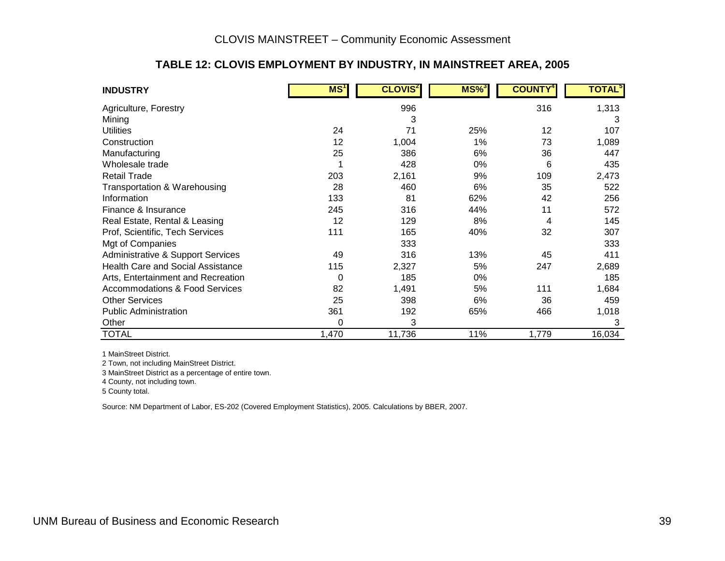#### **TABLE 12: CLOVIS EMPLOYMENT BY INDUSTRY, IN MAINSTREET AREA, 2005**

| <b>INDUSTRY</b>                          | MS <sup>1</sup> | <b>CLOVIS<sup>2</sup></b> | $MS\%$ <sup>3</sup> | <b>COUNTY</b> | <b>TOTAL</b> <sup>5</sup> |
|------------------------------------------|-----------------|---------------------------|---------------------|---------------|---------------------------|
| Agriculture, Forestry                    |                 | 996                       |                     | 316           | 1,313                     |
| Mining                                   |                 | 3                         |                     |               | 3                         |
| <b>Utilities</b>                         | 24              | 71                        | 25%                 | 12            | 107                       |
| Construction                             | 12              | 1,004                     | 1%                  | 73            | 1,089                     |
| Manufacturing                            | 25              | 386                       | 6%                  | 36            | 447                       |
| Wholesale trade                          |                 | 428                       | $0\%$               | 6             | 435                       |
| <b>Retail Trade</b>                      | 203             | 2,161                     | 9%                  | 109           | 2,473                     |
| Transportation & Warehousing             | 28              | 460                       | 6%                  | 35            | 522                       |
| Information                              | 133             | 81                        | 62%                 | 42            | 256                       |
| Finance & Insurance                      | 245             | 316                       | 44%                 | 11            | 572                       |
| Real Estate, Rental & Leasing            | 12              | 129                       | 8%                  | 4             | 145                       |
| Prof, Scientific, Tech Services          | 111             | 165                       | 40%                 | 32            | 307                       |
| Mgt of Companies                         |                 | 333                       |                     |               | 333                       |
| Administrative & Support Services        | 49              | 316                       | 13%                 | 45            | 411                       |
| <b>Health Care and Social Assistance</b> | 115             | 2,327                     | 5%                  | 247           | 2,689                     |
| Arts, Entertainment and Recreation       | 0               | 185                       | 0%                  |               | 185                       |
| Accommodations & Food Services           | 82              | 1,491                     | 5%                  | 111           | 1,684                     |
| <b>Other Services</b>                    | 25              | 398                       | 6%                  | 36            | 459                       |
| <b>Public Administration</b>             | 361             | 192                       | 65%                 | 466           | 1,018                     |
| Other                                    | 0               | 3                         |                     |               | 3                         |
| <b>TOTAL</b>                             | 1,470           | 11,736                    | 11%                 | 1,779         | 16,034                    |

1 MainStreet District.

2 Town, not including MainStreet District.

3 MainStreet District as a percentage of entire town.

4 County, not including town.

5 County total.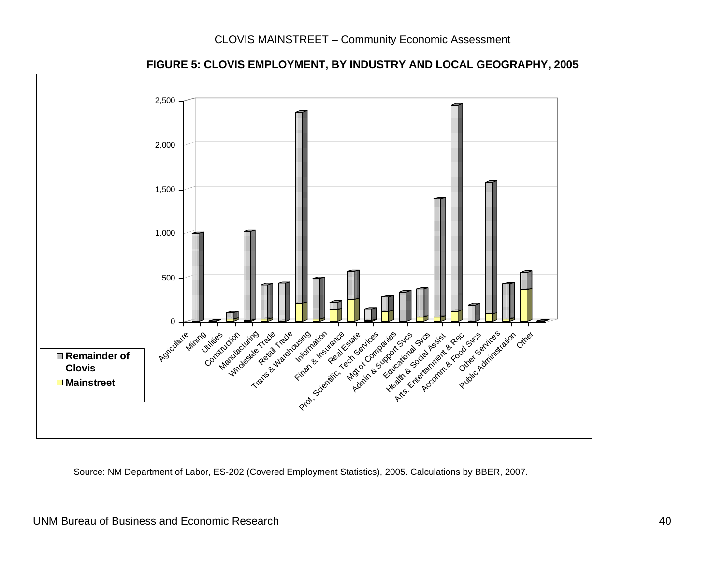

**FIGURE 5: CLOVIS EMPLOYMENT, BY INDUSTRY AND LOCAL GEOGRAPHY, 2005**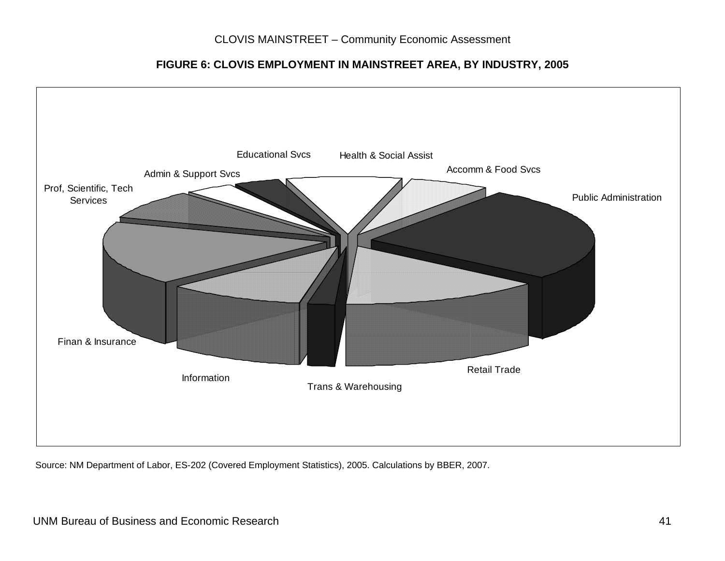**FIGURE 6: CLOVIS EMPLOYMENT IN MAINSTREET AREA, BY INDUSTRY, 2005** 

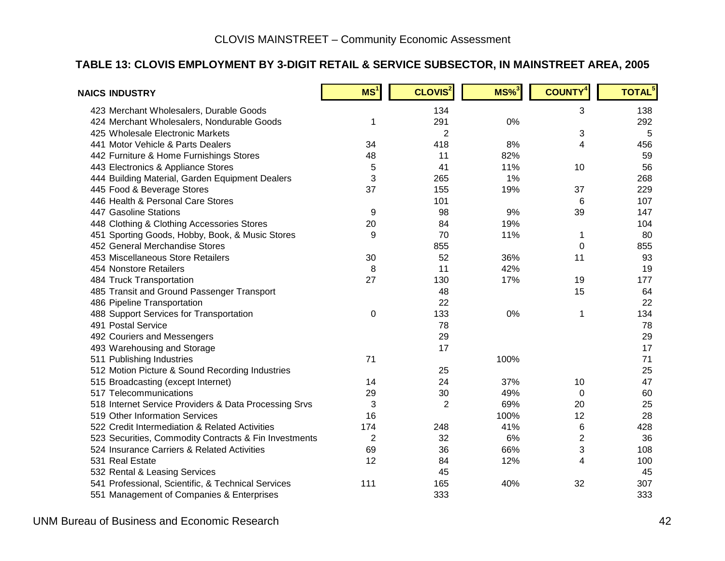#### **TABLE 13: CLOVIS EMPLOYMENT BY 3-DIGIT RETAIL & SERVICE SUBSECTOR, IN MAINSTREET AREA, 2005**

| <b>NAICS INDUSTRY</b>                                 | MS <sup>1</sup> | CLOVIS <sup>2</sup> | $MS\%$ <sup>3</sup> | <b>COUNTY<sup>4</sup></b> | TOTAL <sup>5</sup> |
|-------------------------------------------------------|-----------------|---------------------|---------------------|---------------------------|--------------------|
| 423 Merchant Wholesalers, Durable Goods               |                 | 134                 |                     | 3                         | 138                |
| 424 Merchant Wholesalers, Nondurable Goods            | 1               | 291                 | 0%                  |                           | 292                |
| 425 Wholesale Electronic Markets                      |                 | $\overline{2}$      |                     | 3                         | 5                  |
| 441 Motor Vehicle & Parts Dealers                     | 34              | 418                 | 8%                  | 4                         | 456                |
| 442 Furniture & Home Furnishings Stores               | 48              | 11                  | 82%                 |                           | 59                 |
| 443 Electronics & Appliance Stores                    | 5               | 41                  | 11%                 | 10                        | 56                 |
| 444 Building Material, Garden Equipment Dealers       | 3               | 265                 | 1%                  |                           | 268                |
| 445 Food & Beverage Stores                            | 37              | 155                 | 19%                 | 37                        | 229                |
| 446 Health & Personal Care Stores                     |                 | 101                 |                     | 6                         | 107                |
| 447 Gasoline Stations                                 | 9               | 98                  | 9%                  | 39                        | 147                |
| 448 Clothing & Clothing Accessories Stores            | 20              | 84                  | 19%                 |                           | 104                |
| 451 Sporting Goods, Hobby, Book, & Music Stores       | 9               | 70                  | 11%                 | $\mathbf 1$               | 80                 |
| 452 General Merchandise Stores                        |                 | 855                 |                     | $\mathbf 0$               | 855                |
| 453 Miscellaneous Store Retailers                     | 30              | 52                  | 36%                 | 11                        | 93                 |
| 454 Nonstore Retailers                                | 8               | 11                  | 42%                 |                           | 19                 |
| 484 Truck Transportation                              | 27              | 130                 | 17%                 | 19                        | 177                |
| 485 Transit and Ground Passenger Transport            |                 | 48                  |                     | 15                        | 64                 |
| 486 Pipeline Transportation                           |                 | 22                  |                     |                           | 22                 |
| 488 Support Services for Transportation               | 0               | 133                 | 0%                  | $\mathbf{1}$              | 134                |
| 491 Postal Service                                    |                 | 78                  |                     |                           | 78                 |
| 492 Couriers and Messengers                           |                 | 29                  |                     |                           | 29                 |
| 493 Warehousing and Storage                           |                 | 17                  |                     |                           | 17                 |
| 511 Publishing Industries                             | 71              |                     | 100%                |                           | 71                 |
| 512 Motion Picture & Sound Recording Industries       |                 | 25                  |                     |                           | 25                 |
| 515 Broadcasting (except Internet)                    | 14              | 24                  | 37%                 | 10                        | 47                 |
| 517 Telecommunications                                | 29              | 30                  | 49%                 | $\Omega$                  | 60                 |
| 518 Internet Service Providers & Data Processing Srvs | 3               | $\overline{2}$      | 69%                 | 20                        | 25                 |
| 519 Other Information Services                        | 16              |                     | 100%                | 12                        | 28                 |
| 522 Credit Intermediation & Related Activities        | 174             | 248                 | 41%                 | 6                         | 428                |
| 523 Securities, Commodity Contracts & Fin Investments | $\overline{2}$  | 32                  | 6%                  | $\overline{2}$            | 36                 |
| 524 Insurance Carriers & Related Activities           | 69              | 36                  | 66%                 | 3                         | 108                |
| 531 Real Estate                                       | 12              | 84                  | 12%                 | 4                         | 100                |
| 532 Rental & Leasing Services                         |                 | 45                  |                     |                           | 45                 |
| 541 Professional, Scientific, & Technical Services    | 111             | 165                 | 40%                 | 32                        | 307                |
| 551 Management of Companies & Enterprises             |                 | 333                 |                     |                           | 333                |